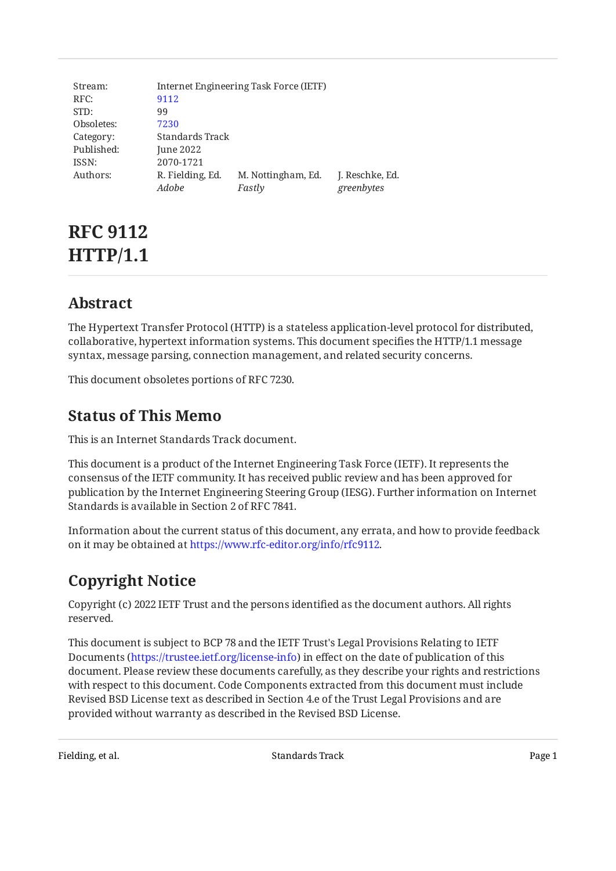| Stream:    |                  | Internet Engineering Task Force (IETF) |                 |
|------------|------------------|----------------------------------------|-----------------|
| RFC:       | 9112             |                                        |                 |
| STD:       | 99               |                                        |                 |
| Obsoletes: | 7230             |                                        |                 |
| Category:  | Standards Track  |                                        |                 |
| Published: | June 2022        |                                        |                 |
| ISSN:      | 2070-1721        |                                        |                 |
| Authors:   | R. Fielding, Ed. | M. Nottingham, Ed.                     | J. Reschke, Ed. |
|            | Adobe            | Fastly                                 | greenbytes      |
|            |                  |                                        |                 |

# **RFC 9112 HTTP/1.1**

# <span id="page-0-0"></span>**[Abstract](#page-0-0)**

The Hypertext Transfer Protocol (HTTP) is a stateless application-level protocol for distributed, collaborative, hypertext information systems. This document specifies the HTTP/1.1 message syntax, message parsing, connection management, and related security concerns.

<span id="page-0-1"></span>This document obsoletes portions of RFC 7230.

# **[Status of This Memo](#page-0-1)**

This is an Internet Standards Track document.

This document is a product of the Internet Engineering Task Force (IETF). It represents the consensus of the IETF community. It has received public review and has been approved for publication by the Internet Engineering Steering Group (IESG). Further information on Internet Standards is available in Section 2 of RFC 7841.

<span id="page-0-2"></span>Information about the current status of this document, any errata, and how to provide feedback on it may be obtained at [https://www.rfc-editor.org/info/rfc9112.](https://www.rfc-editor.org/info/rfc9112)

# **[Copyright Notice](#page-0-2)**

Copyright (c) 2022 IETF Trust and the persons identified as the document authors. All rights reserved.

This document is subject to BCP 78 and the IETF Trust's Legal Provisions Relating to IETF Documents (<https://trustee.ietf.org/license-info>) in effect on the date of publication of this document. Please review these documents carefully, as they describe your rights and restrictions with respect to this document. Code Components extracted from this document must include Revised BSD License text as described in Section 4.e of the Trust Legal Provisions and are provided without warranty as described in the Revised BSD License.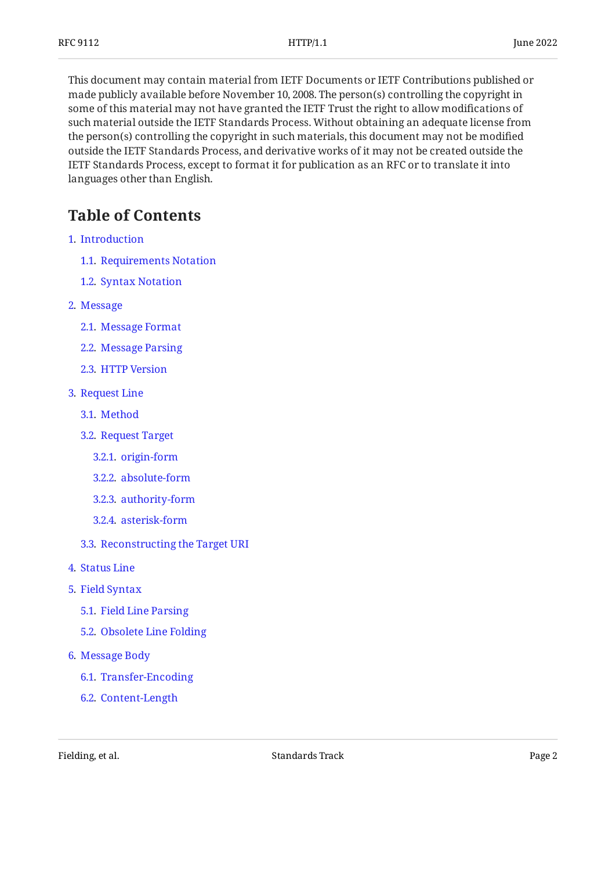This document may contain material from IETF Documents or IETF Contributions published or made publicly available before November 10, 2008. The person(s) controlling the copyright in some of this material may not have granted the IETF Trust the right to allow modifications of such material outside the IETF Standards Process. Without obtaining an adequate license from the person(s) controlling the copyright in such materials, this document may not be modified outside the IETF Standards Process, and derivative works of it may not be created outside the IETF Standards Process, except to format it for publication as an RFC or to translate it into languages other than English.

# <span id="page-1-0"></span>**[Table of Contents](#page-1-0)**

- [1](#page-4-0). [Introduction](#page-4-0)
	- [1.1.](#page-4-1) [Requirements Notation](#page-4-1)
	- [1.2.](#page-4-2) [Syntax Notation](#page-4-2)
- [2](#page-5-0). [Message](#page-5-0)
	- [2.1.](#page-5-1) [Message Format](#page-5-1)
	- [2.2.](#page-6-0) [Message Parsing](#page-6-0)
	- [2.3.](#page-7-0) [HTTP Version](#page-7-0)
- [3](#page-8-0). [Request Line](#page-8-0)
	- [3.1.](#page-8-1) [Method](#page-8-1)
	- [3.2.](#page-8-2) [Request Target](#page-8-2)
		- [3.2.1](#page-9-0). [origin-form](#page-9-0)
		- [3.2.2](#page-10-0). [absolute-form](#page-10-0)
		- [3.2.3](#page-10-1). [authority-form](#page-10-1)
		- [3.2.4](#page-11-0). [asterisk-form](#page-11-0)
	- [3.3.](#page-11-1) [Reconstructing the Target URI](#page-11-1)
- [4](#page-13-0). [Status Line](#page-13-0)
- [5](#page-14-0). [Field Syntax](#page-14-0)
	- [5.1.](#page-14-1) [Field Line Parsing](#page-14-1)
	- [5.2.](#page-14-2) [Obsolete Line Folding](#page-14-2)
- [6](#page-15-0). [Message Body](#page-15-0)
	- [6.1.](#page-15-1) [Transfer-Encoding](#page-15-1)
	- [6.2.](#page-17-0) [Content-Length](#page-17-0)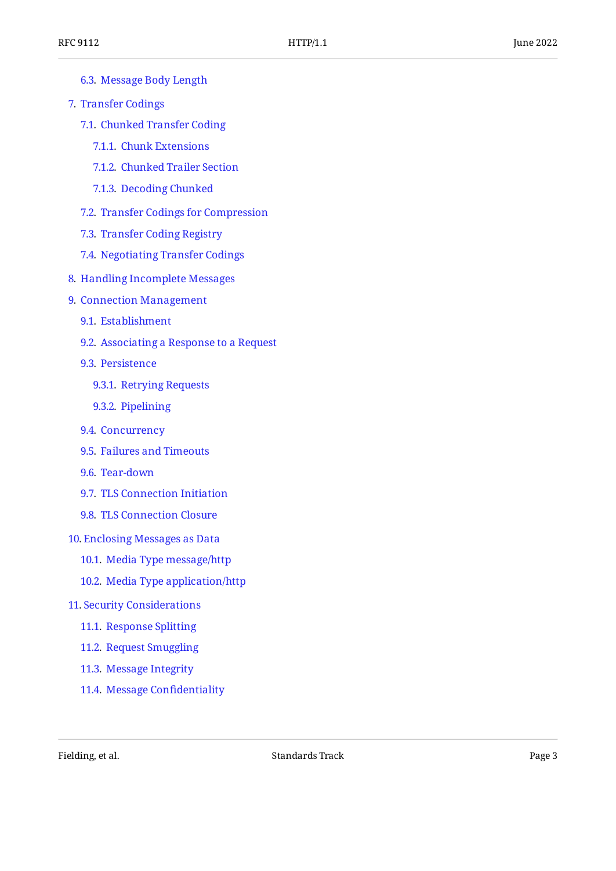- [6.3.](#page-17-1) [Message Body Length](#page-17-1)
- [7](#page-19-0). [Transfer Codings](#page-19-0)
	- [7.1.](#page-20-0) [Chunked Transfer Coding](#page-20-0)
		- [7.1.1](#page-20-1). [Chunk Extensions](#page-20-1)
		- [7.1.2](#page-21-0). [Chunked Trailer Section](#page-21-0)
		- [7.1.3](#page-21-1). [Decoding Chunked](#page-21-1)
	- [7.2.](#page-22-0) [Transfer Codings for Compression](#page-22-0)
	- [7.3.](#page-22-1) [Transfer Coding Registry](#page-22-1)
	- [7.4.](#page-23-0) [Negotiating Transfer Codings](#page-23-0)
- [8](#page-24-0). [Handling Incomplete Messages](#page-24-0)
- [9](#page-24-1). [Connection Management](#page-24-1)
	- [9.1.](#page-25-0) [Establishment](#page-25-0)
	- [9.2.](#page-25-1) [Associating a Response to a Request](#page-25-1)
	- [9.3.](#page-25-2) [Persistence](#page-25-2)
		- [9.3.1](#page-26-0). [Retrying Requests](#page-26-0)
		- [9.3.2](#page-26-1). [Pipelining](#page-26-1)
	- [9.4.](#page-27-0) [Concurrency](#page-27-0)
	- [9.5.](#page-27-1) [Failures and Timeouts](#page-27-1)
	- [9.6.](#page-28-0) [Tear-down](#page-28-0)
	- [9.7.](#page-29-0) [TLS Connection Initiation](#page-29-0)
	- [9.8.](#page-29-1) [TLS Connection Closure](#page-29-1)
- [10](#page-30-0). [Enclosing Messages as Data](#page-30-0)
	- [10.1.](#page-30-1) [Media Type message/http](#page-30-1)
	- [10.2.](#page-31-0) [Media Type application/http](#page-31-0)
- [11](#page-32-0). [Security Considerations](#page-32-0)
	- [11.1.](#page-32-1) [Response Splitting](#page-32-1)
	- [11.2.](#page-33-0) [Request Smuggling](#page-33-0)
	- [11.3.](#page-33-1) [Message Integrity](#page-33-1)
	- [11.4.](#page-34-0) [Message Con](#page-34-0)fidentiality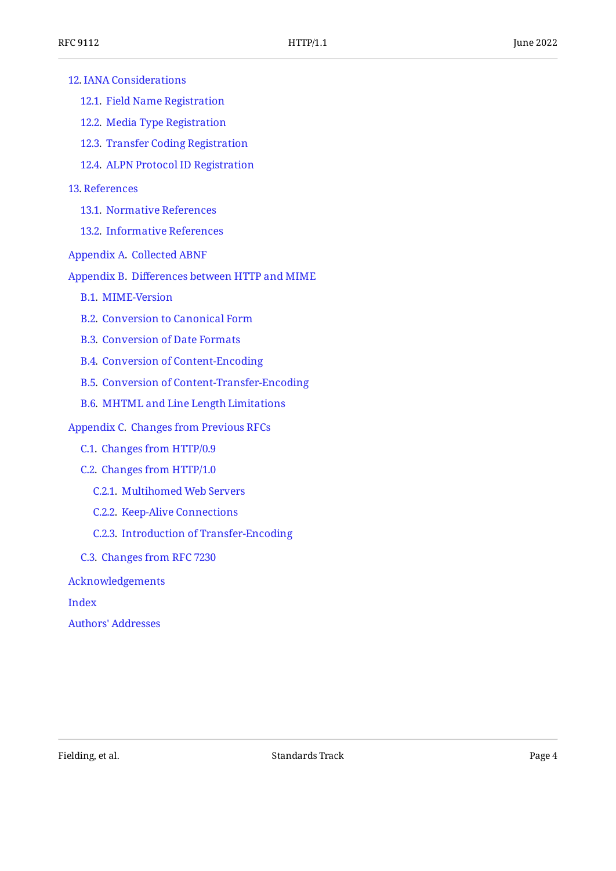| <b>12. IANA Considerations</b>                      |
|-----------------------------------------------------|
| 12.1. Field Name Registration                       |
| 12.2. Media Type Registration                       |
| 12.3. Transfer Coding Registration                  |
| 12.4. ALPN Protocol ID Registration                 |
| 13. References                                      |
| 13.1. Normative References                          |
| 13.2. Informative References                        |
| Appendix A. Collected ABNF                          |
| Appendix B. Differences between HTTP and MIME       |
| <b>B.1. MIME-Version</b>                            |
| <b>B.2. Conversion to Canonical Form</b>            |
| <b>B.3. Conversion of Date Formats</b>              |
| <b>B.4. Conversion of Content-Encoding</b>          |
| <b>B.5. Conversion of Content-Transfer-Encoding</b> |
|                                                     |

[B.6](#page-40-2). [MHTML and Line Length Limitations](#page-40-2)

#### [Appendix C.](#page-40-3) [Changes from Previous RFCs](#page-40-3)

- [C.1.](#page-40-4) [Changes from HTTP/0.9](#page-40-4)
- [C.2.](#page-41-0) [Changes from HTTP/1.0](#page-41-0)
	- [C.2.1.](#page-41-1) [Multihomed Web Servers](#page-41-1)
	- [C.2.2.](#page-41-2) [Keep-Alive Connections](#page-41-2)
	- [C.2.3.](#page-41-3) [Introduction of Transfer-Encoding](#page-41-3)
- [C.3.](#page-42-0) [Changes from RFC 7230](#page-42-0)

[Acknowledgements](#page-42-1)

[Index](#page-42-2)

[Authors' Addresses](#page-45-0)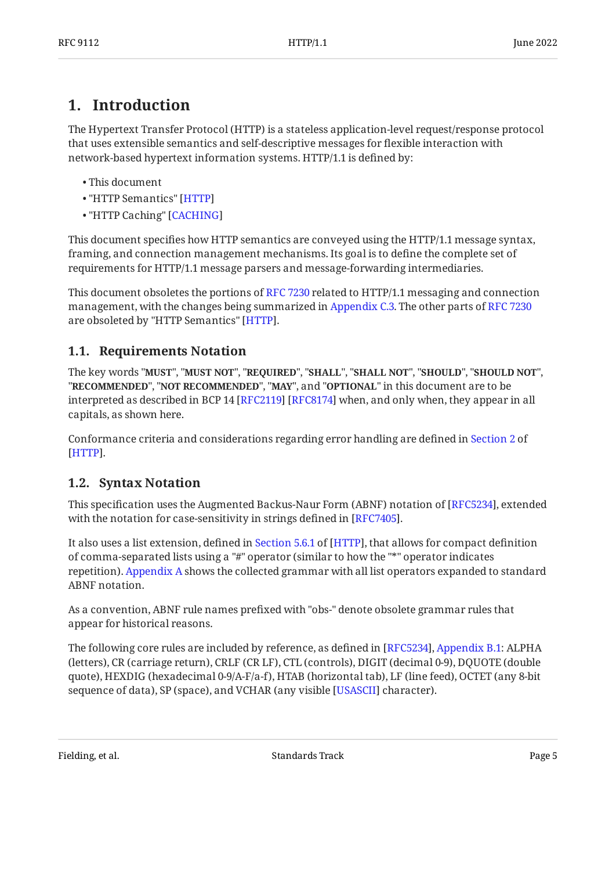# <span id="page-4-0"></span>**[1. Introduction](#page-4-0)**

The Hypertext Transfer Protocol (HTTP) is a stateless application-level request/response protocol that uses extensible semantics and self-descriptive messages for flexible interaction with network-based hypertext information systems. HTTP/1.1 is defined by:

- This document •
- "HTTP Semantics" [\[HTTP](#page-35-3)]
- "HTTP Caching" [\[CACHING\]](#page-35-4)

This document specifies how HTTP semantics are conveyed using the HTTP/1.1 message syntax, framing, and connection management mechanisms. Its goal is to define the complete set of requirements for HTTP/1.1 message parsers and message-forwarding intermediaries.

This document obsoletes the portions of [RFC 7230](#page-37-1) related to HTTP/1.1 messaging and connection management, with the changes being summarized in [Appendix C.3.](#page-42-0) The other parts of [RFC 7230](#page-37-1) are obsoleted by "HTTP Semantics" [HTTP].

# <span id="page-4-1"></span>**[1.1. Requirements Notation](#page-4-1)**

The key words "MUST", "MUST NOT", "REQUIRED", "SHALL", "SHALL NOT", "SHOULD", "SHOULD NOT", "**RECOMMENDED", "NOT RECOMMENDED", "MAY",** and "OPTIONAL" in this document are to be interpreted as described in BCP 14 [RFC2119] [RFC8174] when, and only when, they appear in all capitals, as shown here.

Conformance criteria and considerations regarding error handling are defined in [Section 2](https://www.rfc-editor.org/rfc/rfc9110#section-2) of . [[HTTP\]](#page-35-3)

# <span id="page-4-2"></span>**[1.2. Syntax Notation](#page-4-2)**

This specification uses the Augmented Backus-Naur Form (ABNF) notation of [RFC5234], extended with the notation for case-sensitivity in strings defined in [RFC7405].

Italso uses a list extension, defined in Section 5.6.1 of [HTTP], that allows for compact definition of comma-separated lists using a "#" operator (similar to how the "\*" operator indicates repetition). [Appendix A](#page-37-0) shows the collected grammar with all list operators expanded to standard ABNF notation.

As a convention, ABNF rule names prefixed with "obs-" denote obsolete grammar rules that appear for historical reasons.

<span id="page-4-3"></span>The following core rules are included by reference, as defined in [RFC5234], Appendix B.1: ALPHA (letters), CR (carriage return), CRLF (CR LF), CTL (controls), DIGIT (decimal 0-9), DQUOTE (double quote), HEXDIG (hexadecimal 0-9/A-F/a-f), HTAB (horizontal tab), LF (line feed), OCTET (any 8-bit sequence of data), SP (space), and VCHAR (any visible [USASCII] character).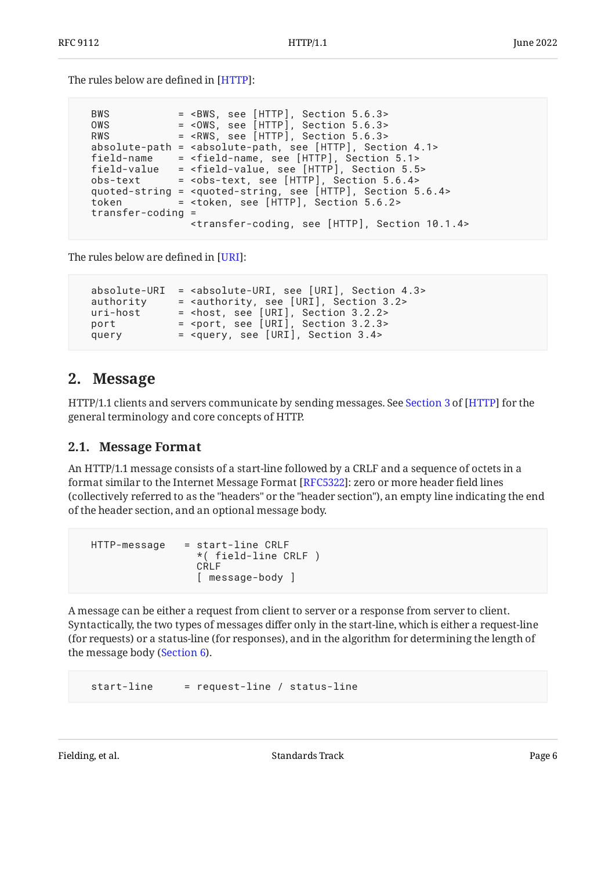The rules below are defined in [[HTTP\]](#page-35-3):

| <b>BWS</b>          | $=$ <bws, 5.6.3="" [http],="" section="" see=""></bws,>                                 |
|---------------------|-----------------------------------------------------------------------------------------|
| OWS                 | $=$ <0WS, see [HTTP], Section 5.6.3>                                                    |
| <b>RWS</b>          | $=$ <rws, 5.6.3="" [http],="" section="" see=""></rws,>                                 |
| absolute-path       | = <absolute-path, 4.1="" [http],="" section="" see=""></absolute-path,>                 |
| field-name          | = <field-name, 5.1="" [http],="" section="" see=""></field-name,>                       |
| field-value         | = <field-value, 5.5="" [http],="" section="" see=""></field-value,>                     |
| obs-text            | $=$ <obs-text, 5.6.4="" [http],="" section="" see=""></obs-text,>                       |
|                     | quoted-string = <quoted-string, 5.6.4="" [http],="" section="" see=""></quoted-string,> |
| token               | = <token, 5.6.2="" [http],="" section="" see=""></token,>                               |
| $transfer-coding =$ |                                                                                         |
|                     | <transfer-coding, 10.1.4="" [http],="" section="" see=""></transfer-coding,>            |
|                     |                                                                                         |

<span id="page-5-2"></span>The rules below are defined in [[URI\]](#page-36-6):

 absolute-URI = <absolute-URI, see [URI], Section 4.3> authority = <authority, see [URI], Section 3.2> uri-host = <host, see [URI], Section 3.2.2> port = <port, see [URI], Section 3.2.3> query = <query, see [URI], Section 3.4>

# <span id="page-5-0"></span>**[2. Message](#page-5-0)**

HTTP/1.1clients and servers communicate by sending messages. See Section 3 of [HTTP] for the general terminology and core concepts of HTTP.

## <span id="page-5-1"></span>**[2.1. Message Format](#page-5-1)**

An HTTP/1.1 message consists of a start-line followed by a CRLF and a sequence of octets in a format similar to the Internet Message Format [\[RFC5322\]](#page-37-2): zero or more header field lines (collectively referred to as the "headers" or the "header section"), an empty line indicating the end of the header section, and an optional message body.

```
 HTTP-message = start-line CRLF
                   *( field-line CRLF )
                   CRLF
                   [ message-body ]
```
A message can be either a request from client to server or a response from server to client. Syntactically, the two types of messages differ only in the start-line, which is either a request-line (for requests) or a status-line (for responses), and in the algorithm for determining the length of the message body ([Section 6\)](#page-15-0).

start-line = request-line / status-line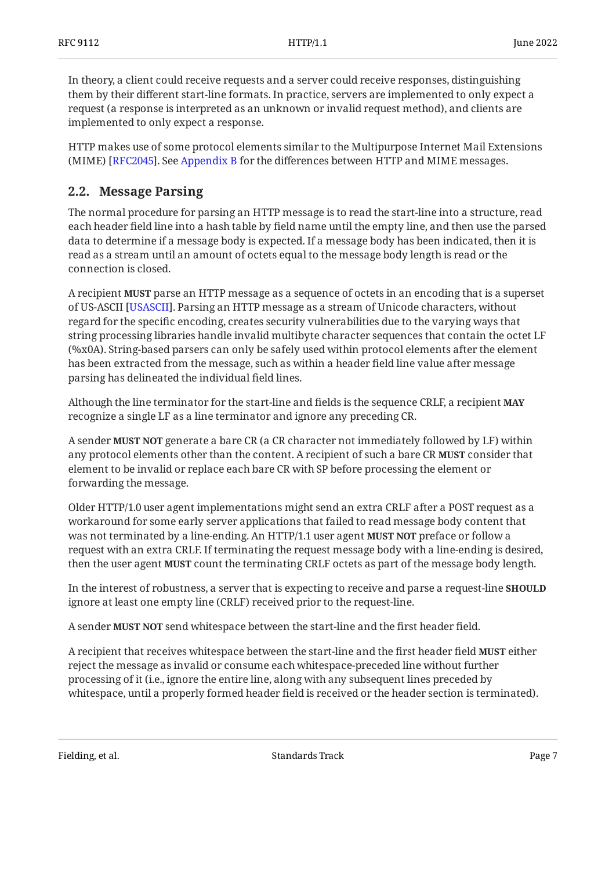In theory, a client could receive requests and a server could receive responses, distinguishing them by their different start-line formats. In practice, servers are implemented to only expect a request (a response is interpreted as an unknown or invalid request method), and clients are implemented to only expect a response.

HTTP makes use of some protocol elements similar to the Multipurpose Internet Mail Extensions (MIME) [[RFC2045\]](#page-37-3). See [Appendix B](#page-39-0) for the differences between HTTP and MIME messages.

## <span id="page-6-0"></span>**[2.2. Message Parsing](#page-6-0)**

The normal procedure for parsing an HTTP message is to read the start-line into a structure, read each header field line into a hash table by field name until the empty line, and then use the parsed data to determine if a message body is expected. If a message body has been indicated, then it is read as a stream until an amount of octets equal to the message body length is read or the connection is closed.

A recipient **MUST** parse an HTTP message as a sequence of octets in an encoding that is a superset of US-ASCII [USASCII]. Parsing an HTTP message as a stream of Unicode characters, without regard for the specific encoding, creates security vulnerabilities due to the varying ways that string processing libraries handle invalid multibyte character sequences that contain the octet LF (%x0A). String-based parsers can only be safely used within protocol elements after the element has been extracted from the message, such as within a header field line value after message parsing has delineated the individual field lines.

Although the line terminator for the start-line and fields is the sequence CRLF, a recipient **MAY** recognize a single LF as a line terminator and ignore any preceding CR.

A sender **MUST NOT** generate a bare CR (a CR character not immediately followed by LF) within any protocol elements other than the content. A recipient of such a bare CR **MUST** consider that element to be invalid or replace each bare CR with SP before processing the element or forwarding the message.

Older HTTP/1.0 user agent implementations might send an extra CRLF after a POST request as a workaround for some early server applications that failed to read message body content that was not terminated by a line-ending. An HTTP/1.1 user agent **MUST NOT** preface or follow a request with an extra CRLF. If terminating the request message body with a line-ending is desired, then the user agent **MUST** count the terminating CRLF octets as part of the message body length.

In the interest of robustness, a server that is expecting to receive and parse a request-line **SHOULD** ignore at least one empty line (CRLF) received prior to the request-line.

A sender **MUST NOT** send whitespace between the start-line and the first header field.

A recipient that receives whitespace between the start-line and the first header field **MUST** either reject the message as invalid or consume each whitespace-preceded line without further processing of it (i.e., ignore the entire line, along with any subsequent lines preceded by whitespace, until a properly formed header field is received or the header section is terminated).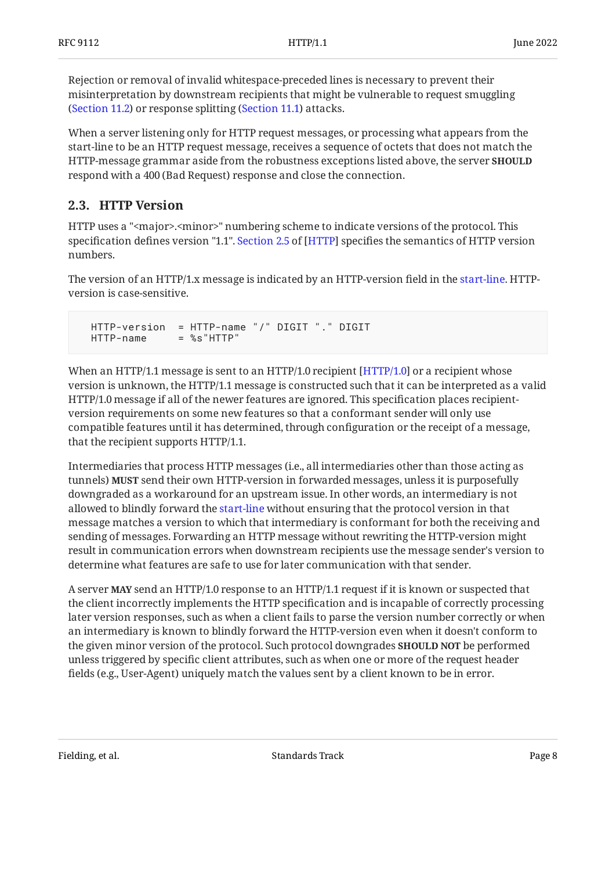Rejection or removal of invalid whitespace-preceded lines is necessary to prevent their misinterpretation by downstream recipients that might be vulnerable to request smuggling ([Section 11.2\)](#page-33-0) or response splitting ([Section 11.1\)](#page-32-1) attacks.

When a server listening only for HTTP request messages, or processing what appears from the start-line to be an HTTP request message, receives a sequence of octets that does not match the HTTP-message grammar aside from the robustness exceptions listed above, the server **SHOULD** respond with a 400 (Bad Request) response and close the connection.

## <span id="page-7-0"></span>**[2.3. HTTP Version](#page-7-0)**

HTTP uses a "<major>.<minor>" numbering scheme to indicate versions of the protocol. This specificationdefines version "1.1". Section 2.5 of [HTTP] specifies the semantics of HTTP version numbers.

The version of an HTTP/1.x message is indicated by an HTTP-version field in the [start-line.](#page-5-1) HTTPversion is case-sensitive.

```
 HTTP-version = HTTP-name "/" DIGIT "." DIGIT
 HTTP-name = %s"HTTP"
```
When an HTTP/1.1 message is sent to an HTTP/1.0 recipient [HTTP/1.0] or a recipient whose version is unknown, the HTTP/1.1 message is constructed such that it can be interpreted as a valid HTTP/1.0 message if all of the newer features are ignored. This specification places recipientversion requirements on some new features so that a conformant sender will only use compatible features until it has determined, through configuration or the receipt of a message, that the recipient supports HTTP/1.1.

Intermediaries that process HTTP messages (i.e., all intermediaries other than those acting as tunnels) **MUST** send their own HTTP-version in forwarded messages, unless it is purposefully downgraded as a workaround for an upstream issue. In other words, an intermediary is not allowed to blindly forward the [start-line](#page-5-1) without ensuring that the protocol version in that message matches a version to which that intermediary is conformant for both the receiving and sending of messages. Forwarding an HTTP message without rewriting the HTTP-version might result in communication errors when downstream recipients use the message sender's version to determine what features are safe to use for later communication with that sender.

A server **MAY** send an HTTP/1.0 response to an HTTP/1.1 request if it is known or suspected that the client incorrectly implements the HTTP specification and is incapable of correctly processing later version responses, such as when a client fails to parse the version number correctly or when an intermediary is known to blindly forward the HTTP-version even when it doesn't conform to the given minor version of the protocol. Such protocol downgrades **SHOULD NOT** be performed unless triggered by specific client attributes, such as when one or more of the request header fields (e.g., User-Agent) uniquely match the values sent by a client known to be in error.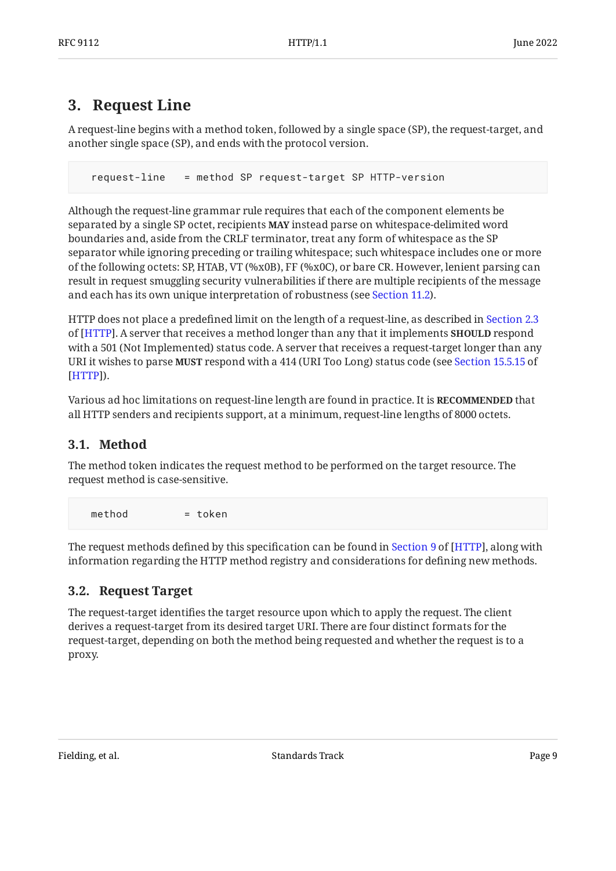# <span id="page-8-0"></span>**[3. Request Line](#page-8-0)**

A request-line begins with a method token, followed by a single space (SP), the request-target, and another single space (SP), and ends with the protocol version.

request-line = method SP request-target SP HTTP-version

Although the request-line grammar rule requires that each of the component elements be separated by a single SP octet, recipients **MAY** instead parse on whitespace-delimited word boundaries and, aside from the CRLF terminator, treat any form of whitespace as the SP separator while ignoring preceding or trailing whitespace; such whitespace includes one or more of the following octets: SP, HTAB, VT (%x0B), FF (%x0C), or bare CR. However, lenient parsing can result in request smuggling security vulnerabilities if there are multiple recipients of the message and each has its own unique interpretation of robustness (see [Section 11.2\)](#page-33-0).

HTTP does not place a predefined limit on the length of a request-line, as described in [Section 2.3](https://www.rfc-editor.org/rfc/rfc9110#section-2.3) of [[HTTP\]](#page-35-3). A server that receives a method longer than any that it implements **SHOULD** respond with a 501 (Not Implemented) status code. A server that receives a request-target longer than any URI it wishes to parse **MUST** respond with a 414 (URI Too Long) status code (see [Section 15.5.15](https://www.rfc-editor.org/rfc/rfc9110#section-15.5.15) of ). [[HTTP\]](#page-35-3)

Various ad hoc limitations on request-line length are found in practice. It is **RECOMMENDED** that all HTTP senders and recipients support, at a minimum, request-line lengths of 8000 octets.

# <span id="page-8-1"></span>**[3.1. Method](#page-8-1)**

The method token indicates the request method to be performed on the target resource. The request method is case-sensitive.

 $method = token$ 

Therequest methods defined by this specification can be found in Section 9 of [HTTP], along with information regarding the HTTP method registry and considerations for defining new methods.

## <span id="page-8-2"></span>**[3.2. Request Target](#page-8-2)**

The request-target identifies the target resource upon which to apply the request. The client derives a request-target from its desired target URI. There are four distinct formats for the request-target, depending on both the method being requested and whether the request is to a proxy.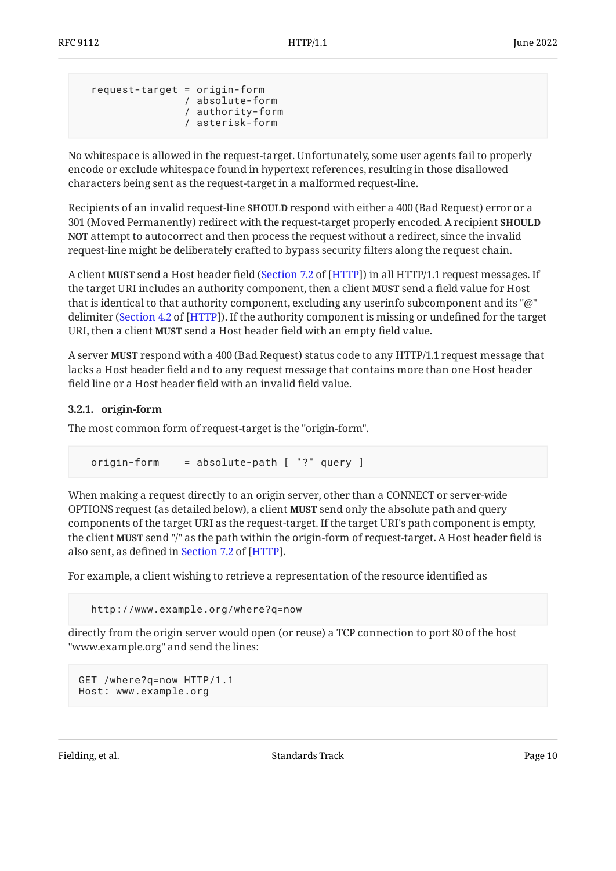```
 request-target = origin-form
                / absolute-form
                 / authority-form
                 / asterisk-form
```
No whitespace is allowed in the request-target. Unfortunately, some user agents fail to properly encode or exclude whitespace found in hypertext references, resulting in those disallowed characters being sent as the request-target in a malformed request-line.

Recipients of an invalid request-line SHOULD respond with either a 400 (Bad Request) error or a 301 (Moved Permanently) redirect with the request-target properly encoded. A recipient **SHOULD** attempt to autocorrect and then process the request without a redirect, since the invalid **NOT** request-line might be deliberately crafted to bypass security filters along the request chain.

A client **MUST** send a Host header field (Section 7.2 of [HTTP]) in all HTTP/1.1 request messages. If the target URI includes an authority component, then a client **MUST** send a field value for Host that is identical to that authority component, excluding any userinfo subcomponent and its "@" delimiter [\(](https://www.rfc-editor.org/rfc/rfc9110#section-4.2)Section 4.2 of [HTTP]). If the authority component is missing or undefined for the target URI, then a client **MUST** send a Host header field with an empty field value.

A server **MUST** respond with a 400 (Bad Request) status code to any HTTP/1.1 request message that lacks a Host header field and to any request message that contains more than one Host header field line or a Host header field with an invalid field value.

#### <span id="page-9-0"></span>**[3.2.1. origin-form](#page-9-0)**

The most common form of request-target is the "origin-form".

```
 origin-form = absolute-path [ "?" query ]
```
When making a request directly to an origin server, other than a CONNECT or server-wide OPTIONS request (as detailed below), a client **MUST** send only the absolute path and query components of the target URI as the request-target. If the target URI's path component is empty, the client **MUST** send "/" as the path within the origin-form of request-target. A Host header field is alsosent, as defined in Section 7.2 of [HTTP].

For example, a client wishing to retrieve a representation of the resource identified as

http://www.example.org/where?q=now

directly from the origin server would open (or reuse) a TCP connection to port 80 of the host "www.example.org" and send the lines:

```
GET /where?q=now HTTP/1.1
Host: www.example.org
```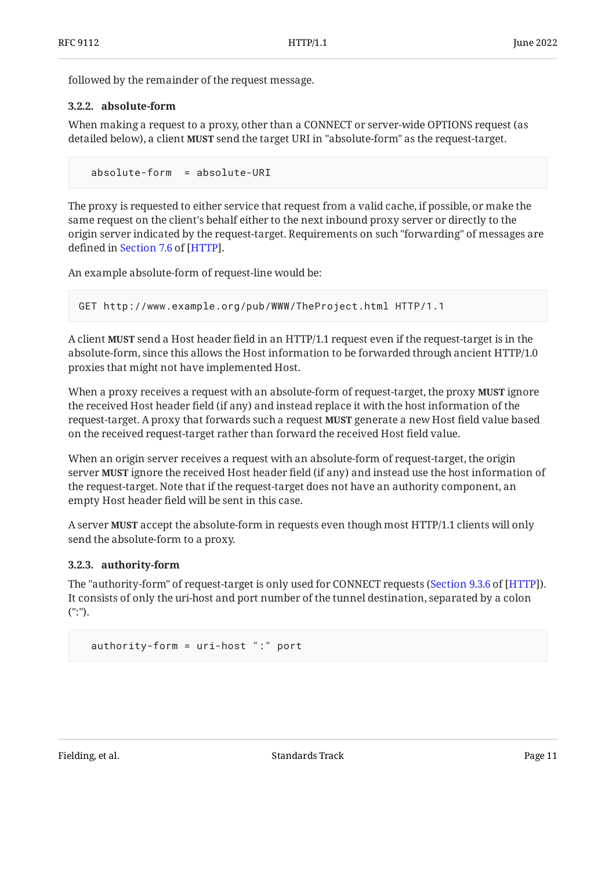<span id="page-10-0"></span>followed by the remainder of the request message.

#### **[3.2.2. absolute-form](#page-10-0)**

When making a request to a proxy, other than a CONNECT or server-wide OPTIONS request (as detailed below), a client **MUST** send the target URI in "absolute-form" as the request-target.

absolute-form = absolute-URI

The proxy is requested to either service that request from a valid cache, if possible, or make the same request on the client's behalf either to the next inbound proxy server or directly to the origin server indicated by the request-target. Requirements on such "forwarding" of messages are definedin Section 7.6 of [HTTP].

An example absolute-form of request-line would be:

```
GET http://www.example.org/pub/WWW/TheProject.html HTTP/1.1
```
A client **MUST** send a Host header field in an HTTP/1.1 request even if the request-target is in the absolute-form, since this allows the Host information to be forwarded through ancient HTTP/1.0 proxies that might not have implemented Host.

When a proxy receives a request with an absolute-form of request-target, the proxy **MUST** ignore the received Host header field (if any) and instead replace it with the host information of the request-target. A proxy that forwards such a request **MUST** generate a new Host field value based on the received request-target rather than forward the received Host field value.

When an origin server receives a request with an absolute-form of request-target, the origin server **MUST** ignore the received Host header field (if any) and instead use the host information of the request-target. Note that if the request-target does not have an authority component, an empty Host header field will be sent in this case.

A server **MUST** accept the absolute-form in requests even though most HTTP/1.1 clients will only send the absolute-form to a proxy.

#### <span id="page-10-1"></span>**[3.2.3. authority-form](#page-10-1)**

The "authority-form" of request-target is only used for CONNECT requests (Section 9.3.6 of [HTTP]). It consists of only the uri-host and port number of the tunnel destination, separated by a colon (":").

```
 authority-form = uri-host ":" port
```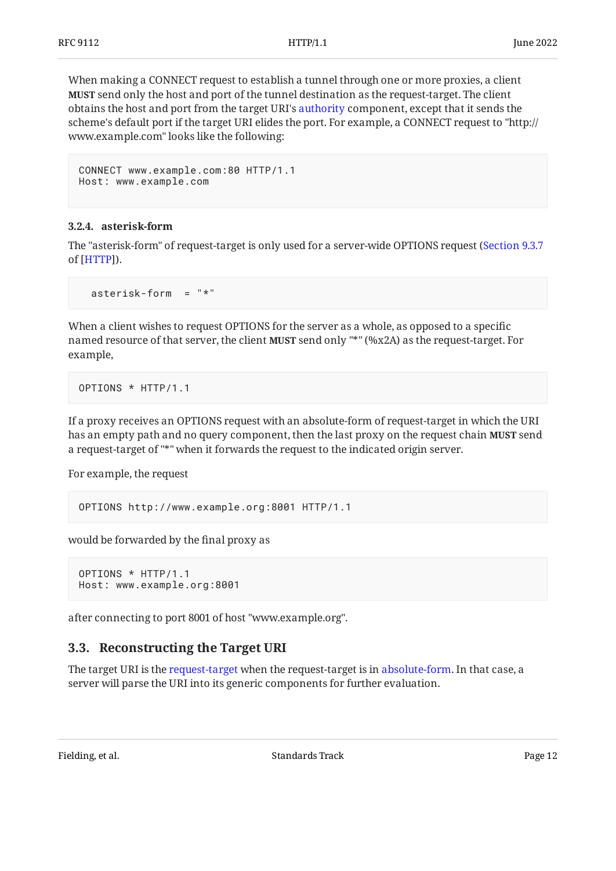When making a CONNECT request to establish a tunnel through one or more proxies, a client **MUST** send only the host and port of the tunnel destination as the request-target. The client obtains the host and port from the target URI's [authority](#page-5-2) component, except that it sends the scheme's default port if the target URI elides the port. For example, a CONNECT request to "http:// www.example.com" looks like the following:

```
CONNECT www.example.com:80 HTTP/1.1
Host: www.example.com
```
#### <span id="page-11-0"></span>**[3.2.4. asterisk-form](#page-11-0)**

The "asterisk-form" of request-target is only used for a server-wide OPTIONS request ( [Section 9.3.7](https://www.rfc-editor.org/rfc/rfc9110#section-9.3.7) ). of [[HTTP\]](#page-35-3)

asterisk-form = "\*"

When a client wishes to request OPTIONS for the server as a whole, as opposed to a specific named resource of that server, the client **MUST** send only "\*" (%x2A) as the request-target. For example,

```
OPTIONS * HTTP/1.1
```
If a proxy receives an OPTIONS request with an absolute-form of request-target in which the URI has an empty path and no query component, then the last proxy on the request chain **MUST** send a request-target of "\*" when it forwards the request to the indicated origin server.

For example, the request

```
OPTIONS http://www.example.org:8001 HTTP/1.1
```
would be forwarded by the final proxy as

```
OPTIONS * HTTP/1.1
Host: www.example.org:8001
```
<span id="page-11-1"></span>after connecting to port 8001 of host "www.example.org".

## **[3.3. Reconstructing the Target URI](#page-11-1)**

The target URI is the [request-target](#page-8-2) when the request-target is in [absolute-form.](#page-10-0) In that case, a server will parse the URI into its generic components for further evaluation.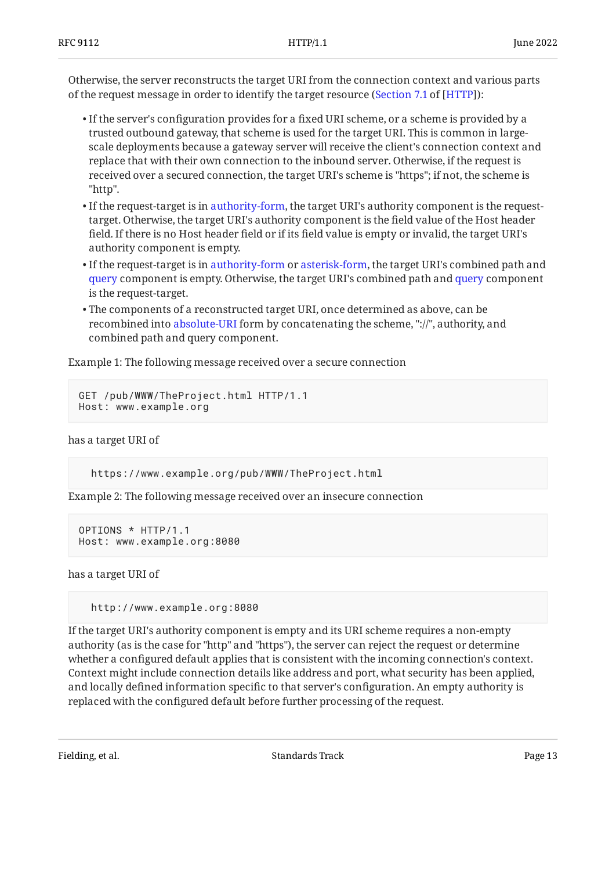Otherwise, the server reconstructs the target URI from the connection context and various parts of the request message in order to identify the target resource (Section 7.1 of [HTTP]):

- $\bullet$  If the server's configuration provides for a fixed URI scheme, or a scheme is provided by a trusted outbound gateway, that scheme is used for the target URI. This is common in largescale deployments because a gateway server will receive the client's connection context and replace that with their own connection to the inbound server. Otherwise, if the request is received over a secured connection, the target URI's scheme is "https"; if not, the scheme is "http".
- $\bullet$  If the request-target is in [authority-form,](#page-10-1) the target URI's authority component is the requesttarget. Otherwise, the target URI's authority component is the field value of the Host header field. If there is no Host header field or if its field value is empty or invalid, the target URI's authority component is empty.
- $\bullet$  If the request-target is in [authority-form](#page-10-1) or [asterisk-form](#page-11-0), the target URI's combined path and [query](#page-5-2) component is empty. Otherwise, the target URI's combined path and [query](#page-5-2) component is the request-target.
- The components of a reconstructed target URI, once determined as above, can be recombined into [absolute-URI](#page-5-2) form by concatenating the scheme, "://", authority, and combined path and query component.

Example 1: The following message received over a secure connection

```
GET /pub/WWW/TheProject.html HTTP/1.1
Host: www.example.org
```
has a target URI of

```
 https://www.example.org/pub/WWW/TheProject.html
```
Example 2: The following message received over an insecure connection

```
OPTIONS * HTTP/1.1
Host: www.example.org:8080
```
has a target URI of

http://www.example.org:8080

If the target URI's authority component is empty and its URI scheme requires a non-empty authority (as is the case for "http" and "https"), the server can reject the request or determine whether a configured default applies that is consistent with the incoming connection's context. Context might include connection details like address and port, what security has been applied, and locally defined information specific to that server's configuration. An empty authority is replaced with the configured default before further processing of the request.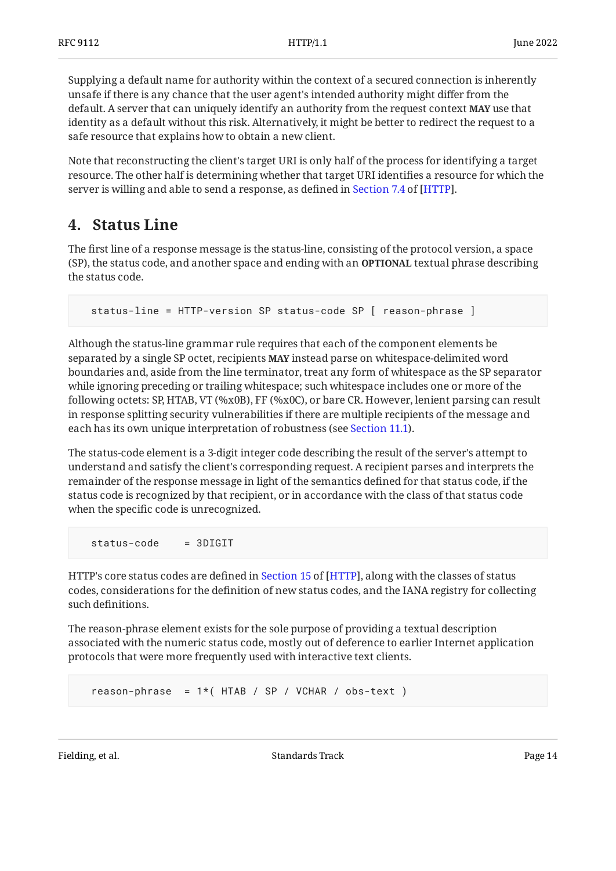Supplying a default name for authority within the context of a secured connection is inherently unsafe if there is any chance that the user agent's intended authority might differ from the default. A server that can uniquely identify an authority from the request context **MAY** use that identity as a default without this risk. Alternatively, it might be better to redirect the request to a safe resource that explains how to obtain a new client.

Note that reconstructing the client's target URI is only half of the process for identifying a target resource. The other half is determining whether that target URI identifies a resource for which the serveris willing and able to send a response, as defined in Section 7.4 of [HTTP].

# <span id="page-13-0"></span>**[4. Status Line](#page-13-0)**

The first line of a response message is the status-line, consisting of the protocol version, a space (SP), the status code, and another space and ending with an **OPTIONAL** textual phrase describing the status code.

status-line = HTTP-version SP status-code SP [ reason-phrase ]

Although the status-line grammar rule requires that each of the component elements be separated by a single SP octet, recipients **MAY** instead parse on whitespace-delimited word boundaries and, aside from the line terminator, treat any form of whitespace as the SP separator while ignoring preceding or trailing whitespace; such whitespace includes one or more of the following octets: SP, HTAB, VT (%x0B), FF (%x0C), or bare CR. However, lenient parsing can result in response splitting security vulnerabilities if there are multiple recipients of the message and each has its own unique interpretation of robustness (see [Section 11.1\)](#page-32-1).

The status-code element is a 3-digit integer code describing the result of the server's attempt to understand and satisfy the client's corresponding request. A recipient parses and interprets the remainder of the response message in light of the semantics defined for that status code, if the status code is recognized by that recipient, or in accordance with the class of that status code when the specific code is unrecognized.

status-code = 3DIGIT

HTTP'score status codes are defined in Section 15 of [HTTP], along with the classes of status codes, considerations for the definition of new status codes, and the IANA registry for collecting such definitions.

The reason-phrase element exists for the sole purpose of providing a textual description associated with the numeric status code, mostly out of deference to earlier Internet application protocols that were more frequently used with interactive text clients.

reason-phrase =  $1*($  HTAB / SP / VCHAR / obs-text )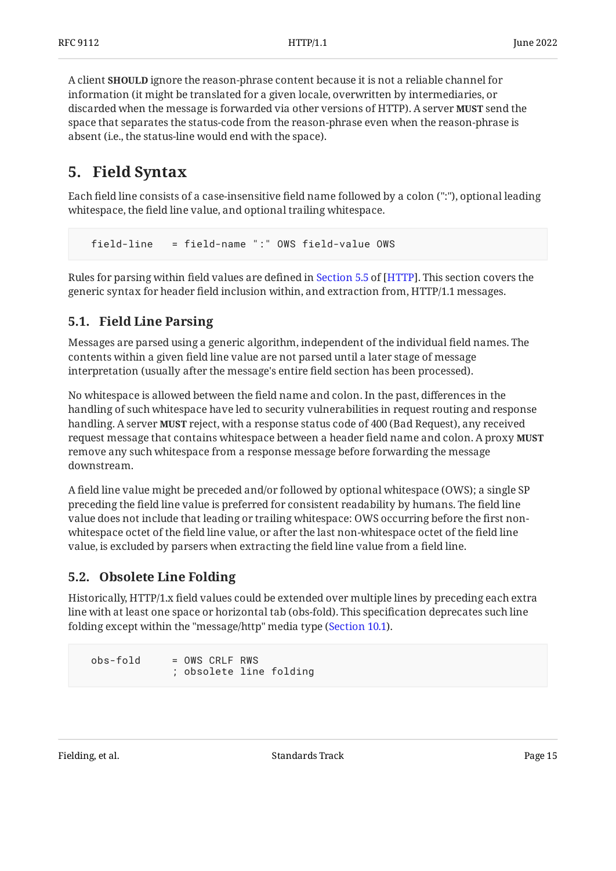A client **SHOULD** ignore the reason-phrase content because it is not a reliable channel for information (it might be translated for a given locale, overwritten by intermediaries, or discarded when the message is forwarded via other versions of HTTP). A server **MUST** send the space that separates the status-code from the reason-phrase even when the reason-phrase is absent (i.e., the status-line would end with the space).

# <span id="page-14-0"></span>**[5. Field Syntax](#page-14-0)**

Each field line consists of a case-insensitive field name followed by a colon (":"), optional leading whitespace, the field line value, and optional trailing whitespace.

field-line = field-name ":" OWS field-value OWS

Rulesfor parsing within field values are defined in Section 5.5 of [HTTP]. This section covers the generic syntax for header field inclusion within, and extraction from, HTTP/1.1 messages.

## <span id="page-14-1"></span>**[5.1. Field Line Parsing](#page-14-1)**

Messages are parsed using a generic algorithm, independent of the individual field names. The contents within a given field line value are not parsed until a later stage of message interpretation (usually after the message's entire field section has been processed).

No whitespace is allowed between the field name and colon. In the past, differences in the handling of such whitespace have led to security vulnerabilities in request routing and response handling. A server **MUST** reject, with a response status code of 400 (Bad Request), any received request message that contains whitespace between a header field name and colon. A proxy **MUST** remove any such whitespace from a response message before forwarding the message downstream.

A field line value might be preceded and/or followed by optional whitespace (OWS); a single SP preceding the field line value is preferred for consistent readability by humans. The field line value does not include that leading or trailing whitespace: OWS occurring before the first nonwhitespace octet of the field line value, or after the last non-whitespace octet of the field line value, is excluded by parsers when extracting the field line value from a field line.

## <span id="page-14-2"></span>**[5.2. Obsolete Line Folding](#page-14-2)**

Historically, HTTP/1.x field values could be extended over multiple lines by preceding each extra line with at least one space or horizontal tab (obs-fold). This specification deprecates such line folding except within the "message/http" media type ([Section 10.1\)](#page-30-1).

```
 obs-fold = OWS CRLF RWS
              ; obsolete line folding
```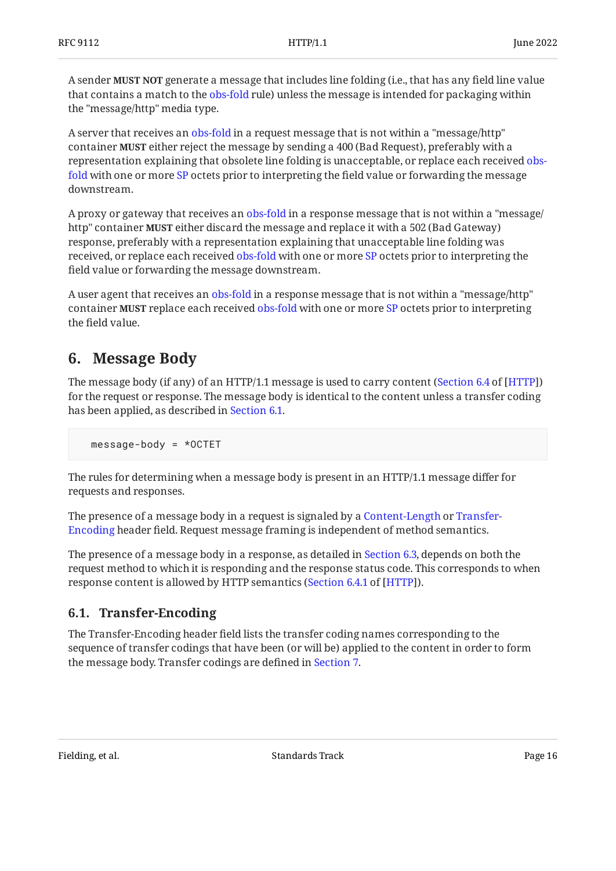A sender **MUST NOT** generate a message that includes line folding (i.e., that has any field line value that contains a match to the [obs-fold](#page-14-2) rule) unless the message is intended for packaging within the "message/http" media type.

A server that receives an [obs-fold](#page-14-2) in a request message that is not within a "message/http" container **MUST** either reject the message by sending a 400 (Bad Request), preferably with a representation explaining that obsolete line folding is unacceptable, or replace each received [obs](#page-14-2)[fold](#page-14-2) with one or more [SP](#page-4-3) octets prior to interpreting the field value or forwarding the message downstream.

A proxy or gateway that receives an [obs-fold](#page-14-2) in a response message that is not within a "message/ http" container **MUST** either discard the message and replace it with a 502 (Bad Gateway) response, preferably with a representation explaining that unacceptable line folding was received, or replace each received [obs-fold](#page-14-2) with one or more [SP](#page-4-3) octets prior to interpreting the field value or forwarding the message downstream.

A user agent that receives an [obs-fold](#page-14-2) in a response message that is not within a "message/http" container **MUST** replace each received [obs-fold](#page-14-2) with one or more [SP](#page-4-3) octets prior to interpreting the field value.

# <span id="page-15-0"></span>**[6. Message Body](#page-15-0)**

The message body (if any) of an HTTP/1.1 message is used to carry content (Section 6.4 of [HTTP]) for the request or response. The message body is identical to the content unless a transfer coding has been applied, as described in [Section 6.1.](#page-15-1)

message-body = \*OCTET

The rules for determining when a message body is present in an HTTP/1.1 message differ for requests and responses.

The presence of a message body in a request is signaled by a [Content-Length](#page-17-0) or [Transfer-](#page-15-1)[Encoding](#page-15-1) header field. Request message framing is independent of method semantics.

The presence of a message body in a response, as detailed in [Section 6.3](#page-17-1), depends on both the request method to which it is responding and the response status code. This corresponds to when response content is allowed by HTTP semantics ([Section 6.4.1](https://www.rfc-editor.org/rfc/rfc9110#section-6.4.1) of [\[HTTP](#page-35-3)]).

## <span id="page-15-1"></span>**[6.1. Transfer-Encoding](#page-15-1)**

The Transfer-Encoding header field lists the transfer coding names corresponding to the sequence of transfer codings that have been (or will be) applied to the content in order to form the message body. Transfer codings are defined in [Section 7.](#page-19-0)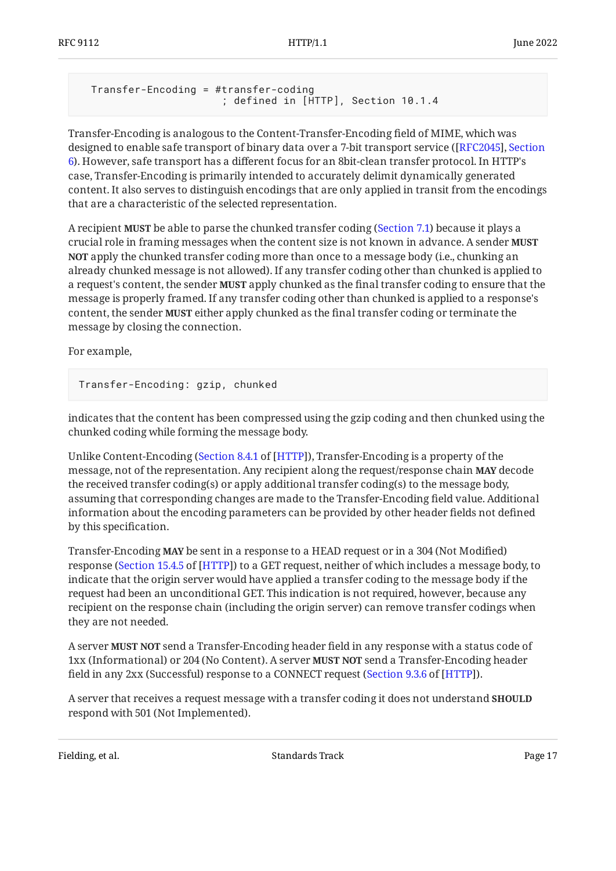```
 Transfer-Encoding = #transfer-coding
                       ; defined in [HTTP], Section 10.1.4
```
Transfer-Encoding is analogous to the Content-Transfer-Encoding field of MIME, which was designed to enable safe transport of binary data over a 7-bit transport service ( [[RFC2045\]](#page-37-3), [Section](https://www.rfc-editor.org/rfc/rfc2045#section-6) ). However, safe transport has a different focus for an 8bit-clean transfer protocol. In HTTP's [6](https://www.rfc-editor.org/rfc/rfc2045#section-6) case, Transfer-Encoding is primarily intended to accurately delimit dynamically generated content. It also serves to distinguish encodings that are only applied in transit from the encodings that are a characteristic of the selected representation.

A recipient **MUST** be able to parse the chunked transfer coding ([Section 7.1](#page-20-0)) because it plays a crucial role in framing messages when the content size is not known in advance. A sender **MUST NOT** apply the chunked transfer coding more than once to a message body (i.e., chunking an already chunked message is not allowed). If any transfer coding other than chunked is applied to a request's content, the sender **MUST** apply chunked as the final transfer coding to ensure that the message is properly framed. If any transfer coding other than chunked is applied to a response's content, the sender **MUST** either apply chunked as the final transfer coding or terminate the message by closing the connection.

For example,

Transfer-Encoding: gzip, chunked

indicates that the content has been compressed using the gzip coding and then chunked using the chunked coding while forming the message body.

Unlike Content-Encoding ([Section 8.4.1](https://www.rfc-editor.org/rfc/rfc9110#section-8.4.1) of [[HTTP\]](#page-35-3)), Transfer-Encoding is a property of the message, not of the representation. Any recipient along the request/response chain **MAY** decode the received transfer coding(s) or apply additional transfer coding(s) to the message body, assuming that corresponding changes are made to the Transfer-Encoding field value. Additional information about the encoding parameters can be provided by other header fields not defined by this specification.

Transfer-Encoding **MAY** be sent in a response to a HEAD request or in a 304 (Not Modified) response ([Section 15.4.5](https://www.rfc-editor.org/rfc/rfc9110#section-15.4.5) of [[HTTP\]](#page-35-3)) to a GET request, neither of which includes a message body, to indicate that the origin server would have applied a transfer coding to the message body if the request had been an unconditional GET. This indication is not required, however, because any recipient on the response chain (including the origin server) can remove transfer codings when they are not needed.

A server **MUST NOT** send a Transfer-Encoding header field in any response with a status code of 1xx (Informational) or 204 (No Content). A server **MUST NOT** send a Transfer-Encoding header field in any 2xx (Successful) response to a CONNECT request ([Section 9.3.6](https://www.rfc-editor.org/rfc/rfc9110#section-9.3.6) of [\[HTTP](#page-35-3)]).

A server that receives a request message with a transfer coding it does not understand **SHOULD** respond with 501 (Not Implemented).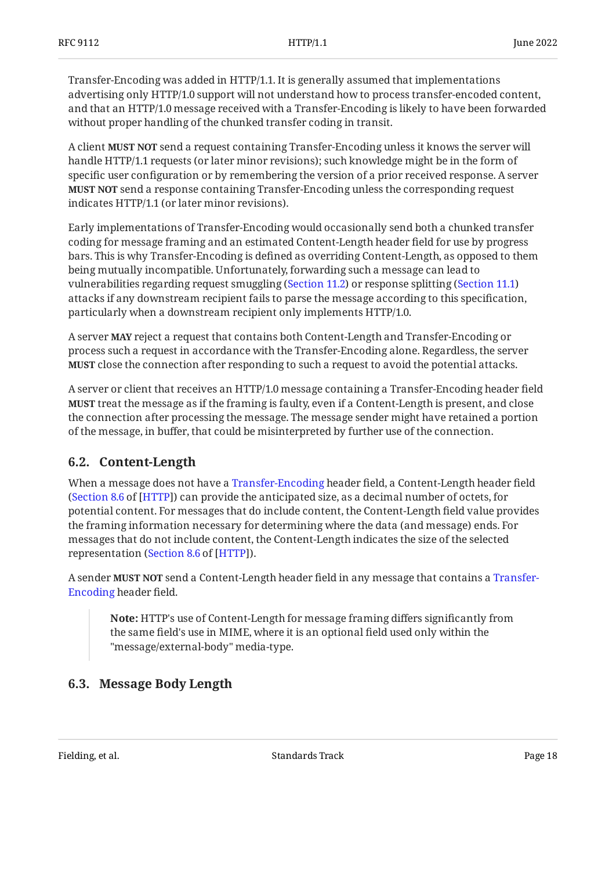Transfer-Encoding was added in HTTP/1.1. It is generally assumed that implementations advertising only HTTP/1.0 support will not understand how to process transfer-encoded content, and that an HTTP/1.0 message received with a Transfer-Encoding is likely to have been forwarded without proper handling of the chunked transfer coding in transit.

A client **MUST NOT** send a request containing Transfer-Encoding unless it knows the server will handle HTTP/1.1 requests (or later minor revisions); such knowledge might be in the form of specific user configuration or by remembering the version of a prior received response. A server **MUST NOT** send a response containing Transfer-Encoding unless the corresponding request indicates HTTP/1.1 (or later minor revisions).

Early implementations of Transfer-Encoding would occasionally send both a chunked transfer coding for message framing and an estimated Content-Length header field for use by progress bars. This is why Transfer-Encoding is defined as overriding Content-Length, as opposed to them being mutually incompatible. Unfortunately, forwarding such a message can lead to vulnerabilities regarding request smuggling ([Section 11.2\)](#page-33-0) or response splitting [\(Section 11.1\)](#page-32-1) attacks if any downstream recipient fails to parse the message according to this specification, particularly when a downstream recipient only implements HTTP/1.0.

A server **MAY** reject a request that contains both Content-Length and Transfer-Encoding or process such a request in accordance with the Transfer-Encoding alone. Regardless, the server **MUST** close the connection after responding to such a request to avoid the potential attacks.

A server or client that receives an HTTP/1.0 message containing a Transfer-Encoding header field **MUST** treat the message as if the framing is faulty, even if a Content-Length is present, and close the connection after processing the message. The message sender might have retained a portion of the message, in buffer, that could be misinterpreted by further use of the connection.

## <span id="page-17-0"></span>**[6.2. Content-Length](#page-17-0)**

When a message does not have a [Transfer-Encoding](#page-15-1) header field, a Content-Length header field (Section 8.6 of [HTTP]) can provide the anticipated size, as a decimal number of octets, for potential content. For messages that do include content, the Content-Length field value provides the framing information necessary for determining where the data (and message) ends. For messages that do not include content, the Content-Length indicates the size of the selected representation (Section 8.6 of [HTTP]).

A sender **MUST NOT** send a Content-Length header field in any message that contains a [Transfer-](#page-15-1)[Encoding](#page-15-1) header field.

**Note:** HTTP's use of Content-Length for message framing differs significantly from the same field's use in MIME, where it is an optional field used only within the "message/external-body" media-type.

## <span id="page-17-1"></span>**[6.3. Message Body Length](#page-17-1)**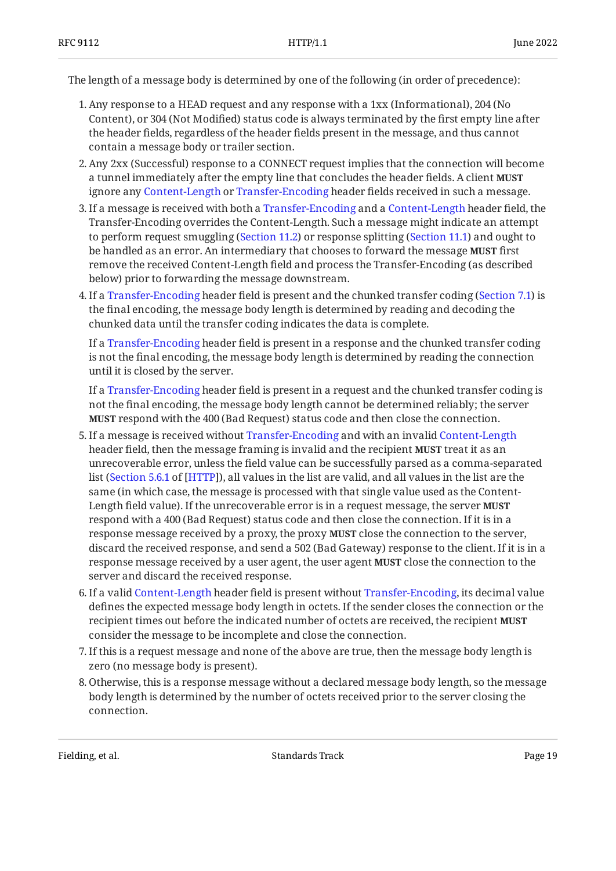The length of a message body is determined by one of the following (in order of precedence):

- Any response to a HEAD request and any response with a 1xx (Informational), 204 (No 1. Content), or 304 (Not Modified) status code is always terminated by the first empty line after the header fields, regardless of the header fields present in the message, and thus cannot contain a message body or trailer section.
- Any 2xx (Successful) response to a CONNECT request implies that the connection will become 2. a tunnel immediately after the empty line that concludes the header fields. A client **MUST** ignore any [Content-Length](#page-17-0) or [Transfer-Encoding](#page-15-1) header fields received in such a message.
- 3. If a message is received with both a [Transfer-Encoding](#page-15-1) and a [Content-Length](#page-17-0) header field, the Transfer-Encoding overrides the Content-Length. Such a message might indicate an attempt to perform request smuggling ([Section 11.2\)](#page-33-0) or response splitting [\(Section 11.1\)](#page-32-1) and ought to be handled as an error. An intermediary that chooses to forward the message **MUST** first remove the received Content-Length field and process the Transfer-Encoding (as described below) prior to forwarding the message downstream.
- If a [Transfer-Encoding](#page-15-1) header field is present and the chunked transfer coding ([Section 7.1](#page-20-0)) is 4. the final encoding, the message body length is determined by reading and decoding the chunked data until the transfer coding indicates the data is complete.

If a [Transfer-Encoding](#page-15-1) header field is present in a response and the chunked transfer coding is not the final encoding, the message body length is determined by reading the connection until it is closed by the server.

If a [Transfer-Encoding](#page-15-1) header field is present in a request and the chunked transfer coding is not the final encoding, the message body length cannot be determined reliably; the server **MUST** respond with the 400 (Bad Request) status code and then close the connection.

- 5. If a message is received without [Transfer-Encoding](#page-15-1) and with an invalid [Content-Length](#page-17-0) header field, then the message framing is invalid and the recipient **MUST** treat it as an unrecoverable error, unless the field value can be successfully parsed as a comma-separated list ([Section 5.6.1](https://www.rfc-editor.org/rfc/rfc9110#section-5.6.1) of [[HTTP](#page-35-3)]), all values in the list are valid, and all values in the list are the same (in which case, the message is processed with that single value used as the Content-Length field value). If the unrecoverable error is in a request message, the server **MUST** respond with a 400 (Bad Request) status code and then close the connection. If it is in a response message received by a proxy, the proxy **MUST** close the connection to the server, discard the received response, and send a 502 (Bad Gateway) response to the client. If it is in a response message received by a user agent, the user agent **MUST** close the connection to the server and discard the received response.
- 6. If a valid [Content-Length](#page-17-0) header field is present without [Transfer-Encoding](#page-15-1), its decimal value defines the expected message body length in octets. If the sender closes the connection or the recipient times out before the indicated number of octets are received, the recipient **MUST** consider the message to be incomplete and close the connection.
- If this is a request message and none of the above are true, then the message body length is 7. zero (no message body is present).
- 8. Otherwise, this is a response message without a declared message body length, so the message body length is determined by the number of octets received prior to the server closing the connection.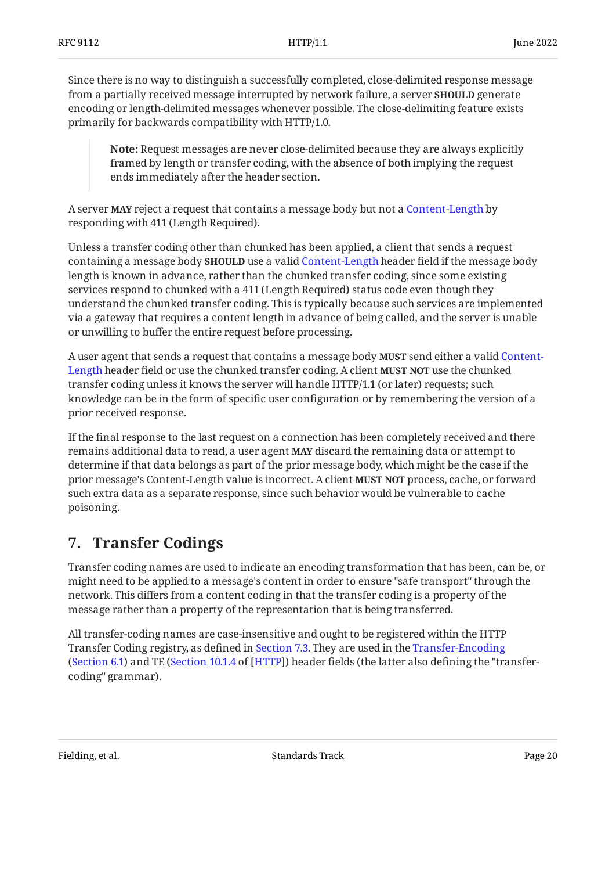Since there is no way to distinguish a successfully completed, close-delimited response message from a partially received message interrupted by network failure, a server **SHOULD** generate encoding or length-delimited messages whenever possible. The close-delimiting feature exists primarily for backwards compatibility with HTTP/1.0.

**Note:** Request messages are never close-delimited because they are always explicitly framed by length or transfer coding, with the absence of both implying the request ends immediately after the header section.

A server **MAY** reject a request that contains a message body but not a [Content-Length](#page-17-0) by responding with 411 (Length Required).

Unless a transfer coding other than chunked has been applied, a client that sends a request containing a message body **SHOULD** use a valid [Content-Length](#page-17-0) header field if the message body length is known in advance, rather than the chunked transfer coding, since some existing services respond to chunked with a 411 (Length Required) status code even though they understand the chunked transfer coding. This is typically because such services are implemented via a gateway that requires a content length in advance of being called, and the server is unable or unwilling to buffer the entire request before processing.

A user agent that sends a request that contains a message body **MUST** send either a valid [Content-](#page-17-0)[Length](#page-17-0) header field or use the chunked transfer coding. A client MUST NOT use the chunked transfer coding unless it knows the server will handle HTTP/1.1 (or later) requests; such knowledge can be in the form of specific user configuration or by remembering the version of a prior received response.

If the final response to the last request on a connection has been completely received and there remains additional data to read, a user agent **MAY** discard the remaining data or attempt to determine if that data belongs as part of the prior message body, which might be the case if the prior message's Content-Length value is incorrect. A client **MUST NOT** process, cache, or forward such extra data as a separate response, since such behavior would be vulnerable to cache poisoning.

# <span id="page-19-0"></span>**[7. Transfer Codings](#page-19-0)**

Transfer coding names are used to indicate an encoding transformation that has been, can be, or might need to be applied to a message's content in order to ensure "safe transport" through the network. This differs from a content coding in that the transfer coding is a property of the message rather than a property of the representation that is being transferred.

All transfer-coding names are case-insensitive and ought to be registered within the HTTP Transfer Coding registry, as defined in [Section 7.3](#page-22-1). They are used in the [Transfer-Encoding](#page-15-1) ([Section 6.1\)](#page-15-1) and TE ([Section 10.1.4](https://www.rfc-editor.org/rfc/rfc9110#section-10.1.4) of [[HTTP](#page-35-3)]) header fields (the latter also defining the "transfercoding" grammar).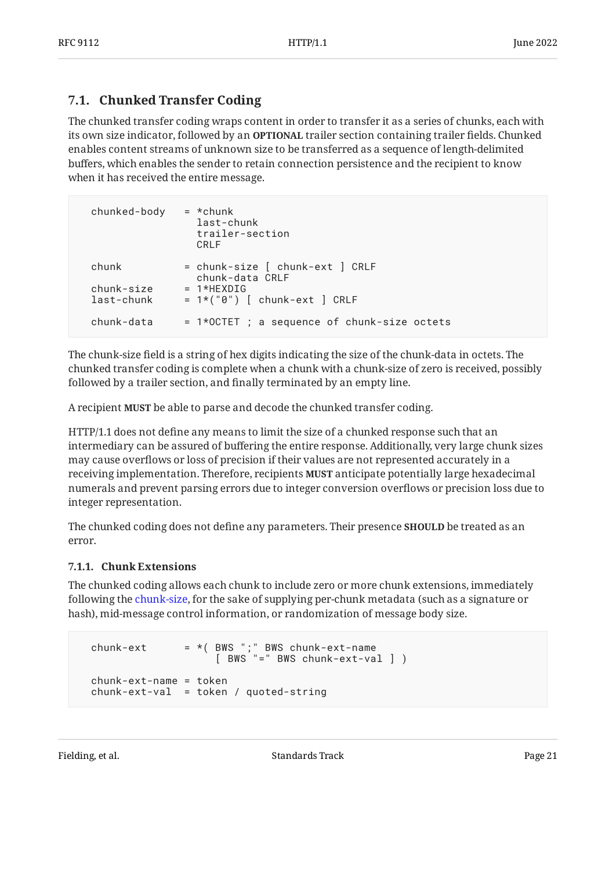# <span id="page-20-0"></span>**[7.1. Chunked Transfer Coding](#page-20-0)**

The chunked transfer coding wraps content in order to transfer it as a series of chunks, each with its own size indicator, followed by an **OPTIONAL** trailer section containing trailer fields. Chunked enables content streams of unknown size to be transferred as a sequence of length-delimited buffers, which enables the sender to retain connection persistence and the recipient to know when it has received the entire message.

| chunked-body        | $= *$ chunk<br>last-chunk<br>trailer-section<br>CRI F              |
|---------------------|--------------------------------------------------------------------|
| chunk<br>chunk-size | = chunk-size [ chunk-ext ] CRLF<br>chunk-data CRLF<br>$= 1*HFXDTG$ |
| last-chunk          | $= 1*("0")$ [ chunk-ext ] CRLF                                     |
| chunk-data          | = 1*OCTET ; a sequence of chunk-size octets                        |

The chunk-size field is a string of hex digits indicating the size of the chunk-data in octets. The chunked transfer coding is complete when a chunk with a chunk-size of zero is received, possibly followed by a trailer section, and finally terminated by an empty line.

A recipient **MUST** be able to parse and decode the chunked transfer coding.

HTTP/1.1 does not define any means to limit the size of a chunked response such that an intermediary can be assured of buffering the entire response. Additionally, very large chunk sizes may cause overflows or loss of precision if their values are not represented accurately in a receiving implementation. Therefore, recipients **MUST** anticipate potentially large hexadecimal numerals and prevent parsing errors due to integer conversion overflows or precision loss due to integer representation.

The chunked coding does not define any parameters. Their presence **SHOULD** be treated as an error.

#### <span id="page-20-1"></span>**[7.1.1. Chunk Extensions](#page-20-1)**

The chunked coding allows each chunk to include zero or more chunk extensions, immediately following the [chunk-size](#page-20-0), for the sake of supplying per-chunk metadata (such as a signature or hash), mid-message control information, or randomization of message body size.

```
chunk-ext = *(BWS "; "BWS chunk-ext-name
                    [ BWS "=" BWS chunk-ext-val ] )
 chunk-ext-name = token
chunk-ext-val = token / quoted-string
```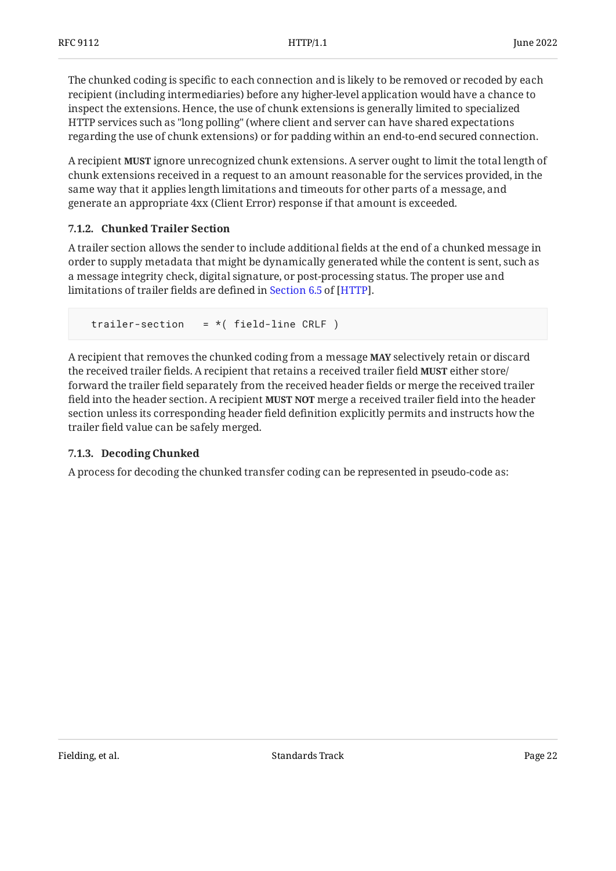The chunked coding is specific to each connection and is likely to be removed or recoded by each recipient (including intermediaries) before any higher-level application would have a chance to inspect the extensions. Hence, the use of chunk extensions is generally limited to specialized HTTP services such as "long polling" (where client and server can have shared expectations regarding the use of chunk extensions) or for padding within an end-to-end secured connection.

A recipient **MUST** ignore unrecognized chunk extensions. A server ought to limit the total length of chunk extensions received in a request to an amount reasonable for the services provided, in the same way that it applies length limitations and timeouts for other parts of a message, and generate an appropriate 4xx (Client Error) response if that amount is exceeded.

## <span id="page-21-0"></span>**[7.1.2. Chunked Trailer Section](#page-21-0)**

A trailer section allows the sender to include additional fields at the end of a chunked message in order to supply metadata that might be dynamically generated while the content is sent, such as a message integrity check, digital signature, or post-processing status. The proper use and limitationsof trailer fields are defined in Section 6.5 of [HTTP].

trailer-section =  $*($  field-line CRLF)

A recipient that removes the chunked coding from a message **MAY** selectively retain or discard the received trailer fields. A recipient that retains a received trailer field **MUST** either store/ forward the trailer field separately from the received header fields or merge the received trailer field into the header section. A recipient **MUST NOT** merge a received trailer field into the header section unless its corresponding header field definition explicitly permits and instructs how the trailer field value can be safely merged.

#### <span id="page-21-1"></span>**[7.1.3. Decoding Chunked](#page-21-1)**

A process for decoding the chunked transfer coding can be represented in pseudo-code as: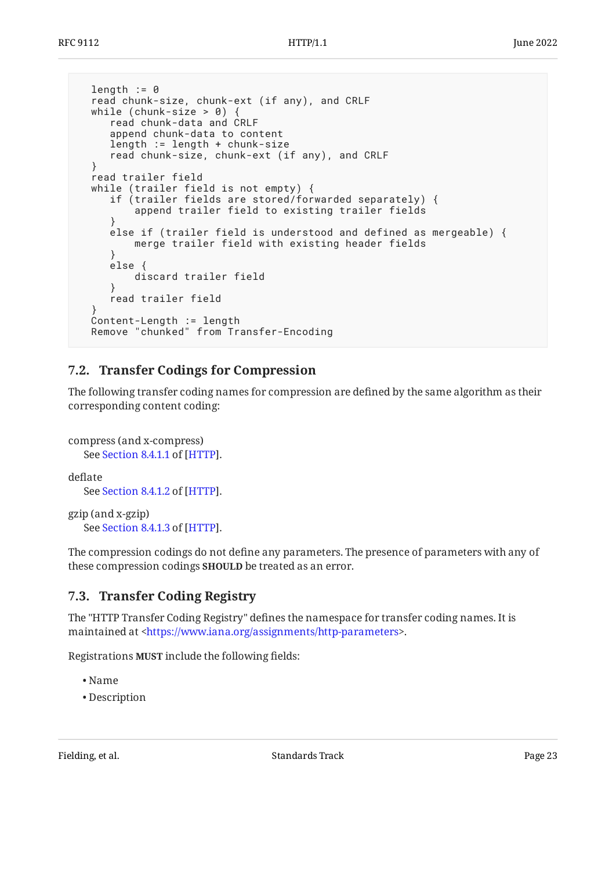```
length := 0 read chunk-size, chunk-ext (if any), and CRLF
  while (chunk-size > 0) {
     read chunk-data and CRLF
     append chunk-data to content
      length := length + chunk-size
      read chunk-size, chunk-ext (if any), and CRLF
   }
  read trailer field
  while (trailer field is not empty) {
     if (trailer fields are stored/forwarded separately) {
          append trailer field to existing trailer fields
 }
      else if (trailer field is understood and defined as mergeable) {
          merge trailer field with existing header fields
      }
     else {
          discard trailer field
      }
      read trailer field
 }
  Content-Length := length
  Remove "chunked" from Transfer-Encoding
```
## <span id="page-22-0"></span>**[7.2. Transfer Codings for Compression](#page-22-0)**

The following transfer coding names for compression are defined by the same algorithm as their corresponding content coding:

```
compress (and x-compress)
    Section 8.4.1.1 of [HTTP].
deflate
```
SeeSection 8.4.1.2 of [HTTP].

gzip (and x-gzip) SeeSection 8.4.1.3 of [HTTP].

The compression codings do not define any parameters. The presence of parameters with any of these compression codings **SHOULD** be treated as an error.

## <span id="page-22-1"></span>**[7.3. Transfer Coding Registry](#page-22-1)**

The "HTTP Transfer Coding Registry" defines the namespace for transfer coding names. It is maintained at <https://www.iana.org/assignments/http-parameters>.

Registrations **MUST** include the following fields:

- Name •
- Description •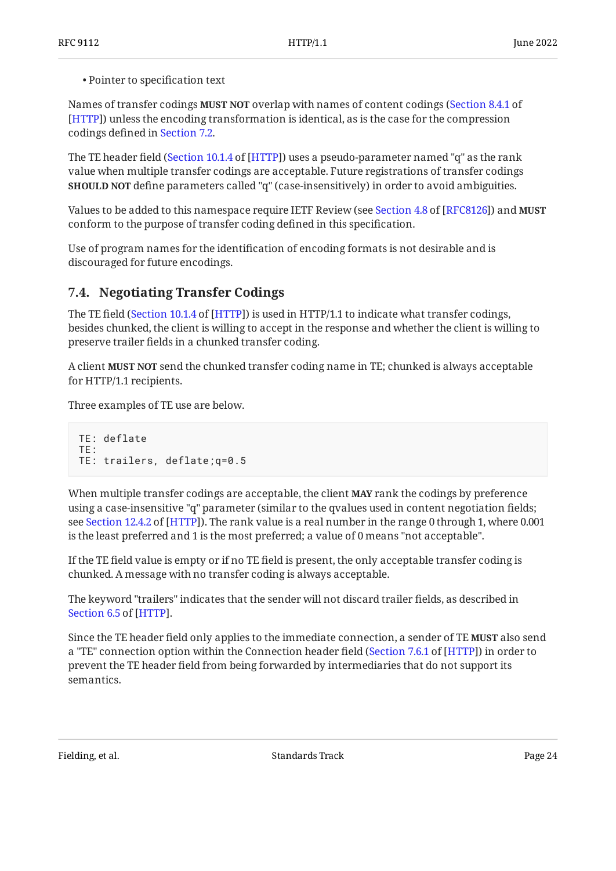Pointer to specification text •

Names of transfer codings **MUST NOT** overlap with names of content codings ([Section 8.4.1](https://www.rfc-editor.org/rfc/rfc9110#section-8.4.1) of ) unless the encoding transformation is identical, as is the case for the compression [[HTTP\]](#page-35-3) codings defined in [Section 7.2](#page-22-0).

The TE header field ([Section 10.1.4](https://www.rfc-editor.org/rfc/rfc9110#section-10.1.4) of [[HTTP](#page-35-3)]) uses a pseudo-parameter named "q" as the rank value when multiple transfer codings are acceptable. Future registrations of transfer codings **SHOULD NOT** define parameters called "q" (case-insensitively) in order to avoid ambiguities.

Valuesto be added to this namespace require IETF Review (see Section 4.8 of [RFC8126]) and **MUST** conform to the purpose of transfer coding defined in this specification.

Use of program names for the identification of encoding formats is not desirable and is discouraged for future encodings.

## <span id="page-23-0"></span>**[7.4. Negotiating Transfer Codings](#page-23-0)**

The TE field ([Section 10.1.4](https://www.rfc-editor.org/rfc/rfc9110#section-10.1.4) of [[HTTP\]](#page-35-3)) is used in HTTP/1.1 to indicate what transfer codings, besides chunked, the client is willing to accept in the response and whether the client is willing to preserve trailer fields in a chunked transfer coding.

A client **MUST NOT** send the chunked transfer coding name in TE; chunked is always acceptable for HTTP/1.1 recipients.

Three examples of TE use are below.

```
TE: deflate
TE:
TE: trailers, deflate;q=0.5
```
When multiple transfer codings are acceptable, the client **MAY** rank the codings by preference using a case-insensitive "q" parameter (similar to the qvalues used in content negotiation fields; seeSection 12.4.2 of [HTTP]). The rank value is a real number in the range 0 through 1, where 0.001  $\,$ is the least preferred and 1 is the most preferred; a value of 0 means "not acceptable".

If the TE field value is empty or if no TE field is present, the only acceptable transfer coding is chunked. A message with no transfer coding is always acceptable.

The keyword "trailers" indicates that the sender will not discard trailer fields, as described in . [Section 6.5](https://www.rfc-editor.org/rfc/rfc9110#section-6.5) of [\[HTTP](#page-35-3)]

Since the TE header field only applies to the immediate connection, a sender of TE **MUST** also send a "TE" connection option within the Connection header field ([Section 7.6.1](https://www.rfc-editor.org/rfc/rfc9110#section-7.6.1) of [[HTTP\]](#page-35-3)) in order to prevent the TE header field from being forwarded by intermediaries that do not support its semantics.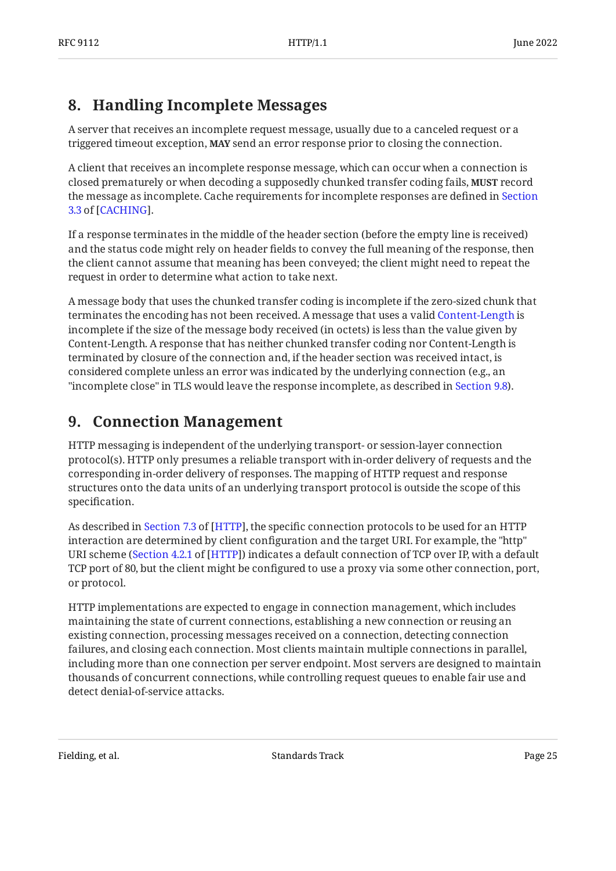# <span id="page-24-0"></span>**[8. Handling Incomplete Messages](#page-24-0)**

A server that receives an incomplete request message, usually due to a canceled request or a triggered timeout exception, MAY send an error response prior to closing the connection.

A client that receives an incomplete response message, which can occur when a connection is closed prematurely or when decoding a supposedly chunked transfer coding fails, **MUST** record the message as incomplete. Cache requirements for incomplete responses are defined in [Section](https://www.rfc-editor.org/rfc/rfc9111#section-3.3) . [3.3](https://www.rfc-editor.org/rfc/rfc9111#section-3.3) of [[CACHING\]](#page-35-4)

If a response terminates in the middle of the header section (before the empty line is received) and the status code might rely on header fields to convey the full meaning of the response, then the client cannot assume that meaning has been conveyed; the client might need to repeat the request in order to determine what action to take next.

A message body that uses the chunked transfer coding is incomplete if the zero-sized chunk that terminates the encoding has not been received. A message that uses a valid [Content-Length](#page-17-0) is incomplete if the size of the message body received (in octets) is less than the value given by Content-Length. A response that has neither chunked transfer coding nor Content-Length is terminated by closure of the connection and, if the header section was received intact, is considered complete unless an error was indicated by the underlying connection (e.g., an "incomplete close" in TLS would leave the response incomplete, as described in [Section 9.8](#page-29-1)).

# <span id="page-24-1"></span>**[9. Connection Management](#page-24-1)**

HTTP messaging is independent of the underlying transport- or session-layer connection protocol(s). HTTP only presumes a reliable transport with in-order delivery of requests and the corresponding in-order delivery of responses. The mapping of HTTP request and response structures onto the data units of an underlying transport protocol is outside the scope of this specification.

Asdescribed in Section 7.3 of [HTTP], the specific connection protocols to be used for an HTTP interaction are determined by client configuration and the target URI. For example, the "http" URI scheme ([Section 4.2.1](https://www.rfc-editor.org/rfc/rfc9110#section-4.2.1) of [[HTTP](#page-35-3)]) indicates a default connection of TCP over IP, with a default TCP port of 80, but the client might be configured to use a proxy via some other connection, port, or protocol.

HTTP implementations are expected to engage in connection management, which includes maintaining the state of current connections, establishing a new connection or reusing an existing connection, processing messages received on a connection, detecting connection failures, and closing each connection. Most clients maintain multiple connections in parallel, including more than one connection per server endpoint. Most servers are designed to maintain thousands of concurrent connections, while controlling request queues to enable fair use and detect denial-of-service attacks.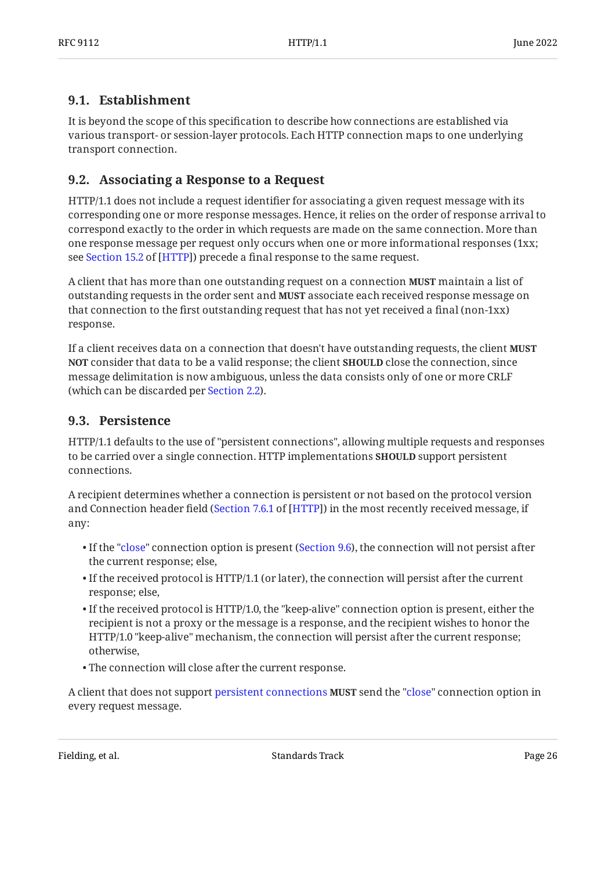## <span id="page-25-0"></span>**[9.1. Establishment](#page-25-0)**

It is beyond the scope of this specification to describe how connections are established via various transport- or session-layer protocols. Each HTTP connection maps to one underlying transport connection.

## <span id="page-25-1"></span>**[9.2. Associating a Response to a Request](#page-25-1)**

HTTP/1.1 does not include a request identifier for associating a given request message with its corresponding one or more response messages. Hence, it relies on the order of response arrival to correspond exactly to the order in which requests are made on the same connection. More than one response message per request only occurs when one or more informational responses (1xx; seeSection 15.2 of [HTTP]) precede a final response to the same request.

A client that has more than one outstanding request on a connection **MUST** maintain a list of outstanding requests in the order sent and **MUST** associate each received response message on that connection to the first outstanding request that has not yet received a final (non-1xx) response.

If a client receives data on a connection that doesn't have outstanding requests, the client **MUST NOT** consider that data to be a valid response; the client **SHOULD** close the connection, since message delimitation is now ambiguous, unless the data consists only of one or more CRLF (which can be discarded per [Section 2.2](#page-6-0)).

## <span id="page-25-2"></span>**[9.3. Persistence](#page-25-2)**

HTTP/1.1 defaults to the use of "persistent connections", allowing multiple requests and responses to be carried over a single connection. HTTP implementations **SHOULD** support persistent connections.

A recipient determines whether a connection is persistent or not based on the protocol version and Connection header field ([Section 7.6.1](https://www.rfc-editor.org/rfc/rfc9110#section-7.6.1) of [[HTTP\]](#page-35-3)) in the most recently received message, if any:

- $\bullet$  If the "[close"](#page-28-0) connection option is present ([Section 9.6](#page-28-0)), the connection will not persist after the current response; else,
- $\bullet$  If the received protocol is HTTP/1.1 (or later), the connection will persist after the current response; else,
- $\bullet$  If the received protocol is HTTP/1.0, the "keep-alive" connection option is present, either the recipient is not a proxy or the message is a response, and the recipient wishes to honor the HTTP/1.0 "keep-alive" mechanism, the connection will persist after the current response; otherwise,
- The connection will close after the current response. •

A client that does not support [persistent connections](#page-25-2) **MUST** send the ["close"](#page-28-0) connection option in every request message.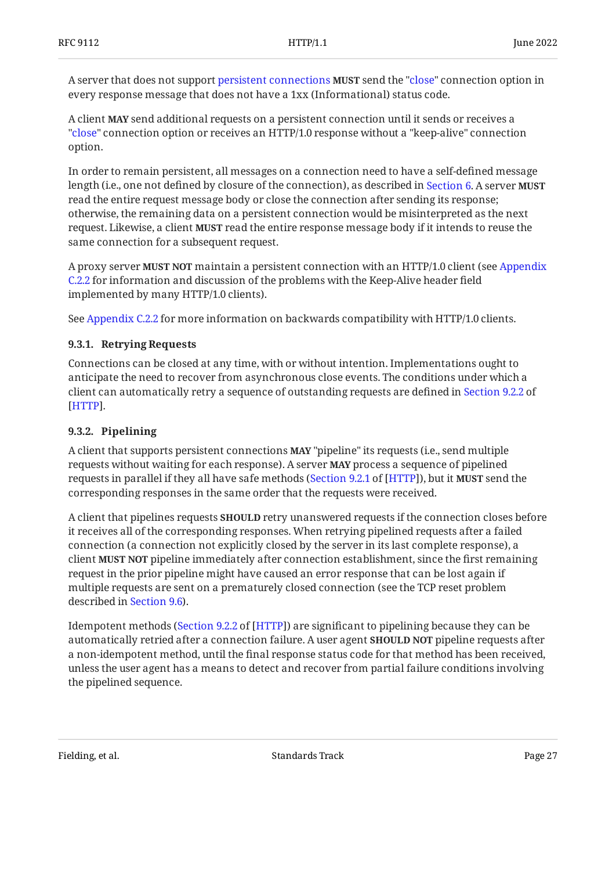A server that does not support [persistent connections](#page-25-2) **MUST** send the ["close"](#page-28-0) connection option in every response message that does not have a 1xx (Informational) status code.

A client **MAY** send additional requests on a persistent connection until it sends or receives a "[close"](#page-28-0) connection option or receives an HTTP/1.0 response without a "keep-alive" connection option.

In order to remain persistent, all messages on a connection need to have a self-defined message length (i.e., one not defined by closure of the connection), as described in [Section 6](#page-15-0). A server **MUST** read the entire request message body or close the connection after sending its response; otherwise, the remaining data on a persistent connection would be misinterpreted as the next request. Likewise, a client **MUST** read the entire response message body if it intends to reuse the same connection for a subsequent request.

A proxy server **MUST NOT** maintain a persistent connection with an HTTP/1.0 client (see [Appendix](#page-41-2) [C.2.2](#page-41-2) for information and discussion of the problems with the Keep-Alive header field implemented by many HTTP/1.0 clients).

<span id="page-26-0"></span>See [Appendix C.2.2](#page-41-2) for more information on backwards compatibility with HTTP/1.0 clients.

#### **[9.3.1. Retrying Requests](#page-26-0)**

Connections can be closed at any time, with or without intention. Implementations ought to anticipate the need to recover from asynchronous close events. The conditions under which a client can automatically retry a sequence of outstanding requests are defined in [Section 9.2.2](https://www.rfc-editor.org/rfc/rfc9110#section-9.2.2) of . [[HTTP\]](#page-35-3)

#### <span id="page-26-1"></span>**[9.3.2. Pipelining](#page-26-1)**

A client that supports persistent connections **MAY** "pipeline" its requests (i.e., send multiple requests without waiting for each response). A server **MAY** process a sequence of pipelined requests in parallel if they all have safe methods ([Section 9.2.1](https://www.rfc-editor.org/rfc/rfc9110#section-9.2.1) of [[HTTP\]](#page-35-3)), but it **MUST** send the corresponding responses in the same order that the requests were received.

A client that pipelines requests **SHOULD** retry unanswered requests if the connection closes before it receives all of the corresponding responses. When retrying pipelined requests after a failed connection (a connection not explicitly closed by the server in its last complete response), a client pipeline immediately after connection establishment, since the first remaining **MUST NOT** request in the prior pipeline might have caused an error response that can be lost again if multiple requests are sent on a prematurely closed connection (see the TCP reset problem described in [Section 9.6](#page-28-0)).

Idempotent methods ([Section 9.2.2](https://www.rfc-editor.org/rfc/rfc9110#section-9.2.2) of [\[HTTP](#page-35-3)]) are significant to pipelining because they can be automatically retried after a connection failure. A user agent **SHOULD NOT** pipeline requests after a non-idempotent method, until the final response status code for that method has been received, unless the user agent has a means to detect and recover from partial failure conditions involving the pipelined sequence.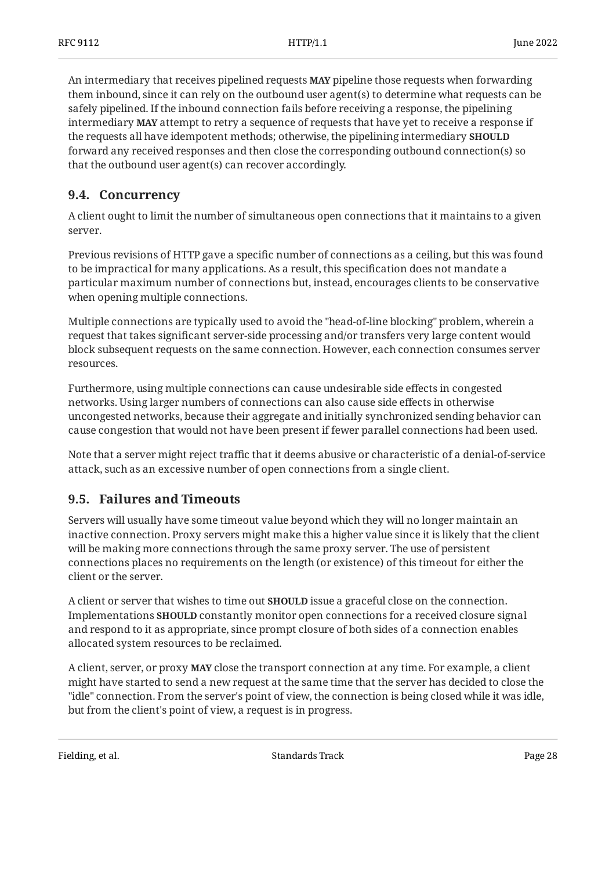An intermediary that receives pipelined requests **MAY** pipeline those requests when forwarding them inbound, since it can rely on the outbound user agent(s) to determine what requests can be safely pipelined. If the inbound connection fails before receiving a response, the pipelining intermediary **MAY** attempt to retry a sequence of requests that have yet to receive a response if the requests all have idempotent methods; otherwise, the pipelining intermediary **SHOULD** forward any received responses and then close the corresponding outbound connection(s) so that the outbound user agent(s) can recover accordingly.

## <span id="page-27-0"></span>**[9.4. Concurrency](#page-27-0)**

A client ought to limit the number of simultaneous open connections that it maintains to a given server.

Previous revisions of HTTP gave a specific number of connections as a ceiling, but this was found to be impractical for many applications. As a result, this specification does not mandate a particular maximum number of connections but, instead, encourages clients to be conservative when opening multiple connections.

Multiple connections are typically used to avoid the "head-of-line blocking" problem, wherein a request that takes significant server-side processing and/or transfers very large content would block subsequent requests on the same connection. However, each connection consumes server resources.

Furthermore, using multiple connections can cause undesirable side effects in congested networks. Using larger numbers of connections can also cause side effects in otherwise uncongested networks, because their aggregate and initially synchronized sending behavior can cause congestion that would not have been present if fewer parallel connections had been used.

Note that a server might reject traffic that it deems abusive or characteristic of a denial-of-service attack, such as an excessive number of open connections from a single client.

## <span id="page-27-1"></span>**[9.5. Failures and Timeouts](#page-27-1)**

Servers will usually have some timeout value beyond which they will no longer maintain an inactive connection. Proxy servers might make this a higher value since it is likely that the client will be making more connections through the same proxy server. The use of persistent connections places no requirements on the length (or existence) of this timeout for either the client or the server.

A client or server that wishes to time out **SHOULD** issue a graceful close on the connection. Implementations **SHOULD** constantly monitor open connections for a received closure signal and respond to it as appropriate, since prompt closure of both sides of a connection enables allocated system resources to be reclaimed.

A client, server, or proxy **MAY** close the transport connection at any time. For example, a client might have started to send a new request at the same time that the server has decided to close the "idle" connection. From the server's point of view, the connection is being closed while it was idle, but from the client's point of view, a request is in progress.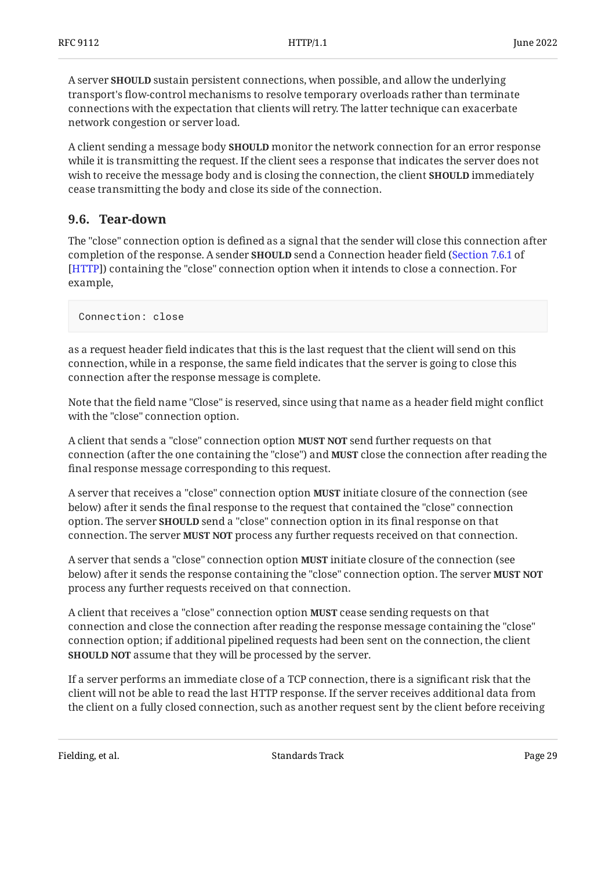A server **SHOULD** sustain persistent connections, when possible, and allow the underlying transport's flow-control mechanisms to resolve temporary overloads rather than terminate connections with the expectation that clients will retry. The latter technique can exacerbate network congestion or server load.

A client sending a message body **SHOULD** monitor the network connection for an error response while it is transmitting the request. If the client sees a response that indicates the server does not wish to receive the message body and is closing the connection, the client **SHOULD** immediately cease transmitting the body and close its side of the connection.

## <span id="page-28-0"></span>**[9.6. Tear-down](#page-28-0)**

The "close" connection option is defined as a signal that the sender will close this connection after completion of the response. A sender **SHOULD** send a Connection header field ([Section 7.6.1](https://www.rfc-editor.org/rfc/rfc9110#section-7.6.1) of ) containing the "close" connection option when it intends to close a connection. For [[HTTP\]](#page-35-3) example,

Connection: close

as a request header field indicates that this is the last request that the client will send on this connection, while in a response, the same field indicates that the server is going to close this connection after the response message is complete.

<span id="page-28-1"></span>Note that the field name "Close" is reserved, since using that name as a header field might conflict with the "close" connection option.

A client that sends a "close" connection option **MUST NOT** send further requests on that connection (after the one containing the "close") and **MUST** close the connection after reading the final response message corresponding to this request.

A server that receives a "close" connection option **MUST** initiate closure of the connection (see below) after it sends the final response to the request that contained the "close" connection option. The server **SHOULD** send a "close" connection option in its final response on that connection. The server **MUST NOT** process any further requests received on that connection.

A server that sends a "close" connection option **MUST** initiate closure of the connection (see below) after it sends the response containing the "close" connection option. The server **MUST NOT** process any further requests received on that connection.

A client that receives a "close" connection option **MUST** cease sending requests on that connection and close the connection after reading the response message containing the "close" connection option; if additional pipelined requests had been sent on the connection, the client **SHOULD NOT** assume that they will be processed by the server.

If a server performs an immediate close of a TCP connection, there is a significant risk that the client will not be able to read the last HTTP response. If the server receives additional data from the client on a fully closed connection, such as another request sent by the client before receiving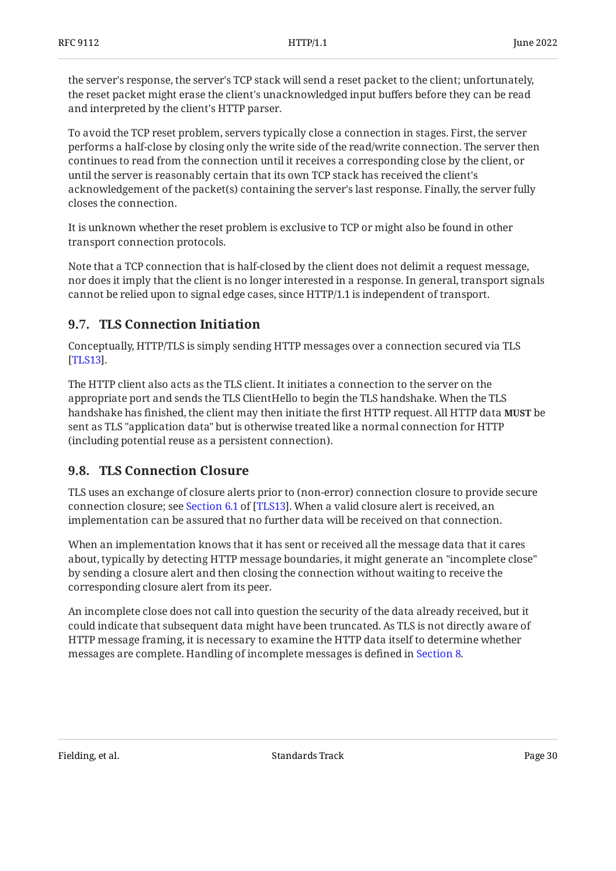the server's response, the server's TCP stack will send a reset packet to the client; unfortunately, the reset packet might erase the client's unacknowledged input buffers before they can be read and interpreted by the client's HTTP parser.

To avoid the TCP reset problem, servers typically close a connection in stages. First, the server performs a half-close by closing only the write side of the read/write connection. The server then continues to read from the connection until it receives a corresponding close by the client, or until the server is reasonably certain that its own TCP stack has received the client's acknowledgement of the packet(s) containing the server's last response. Finally, the server fully closes the connection.

It is unknown whether the reset problem is exclusive to TCP or might also be found in other transport connection protocols.

Note that a TCP connection that is half-closed by the client does not delimit a request message, nor does it imply that the client is no longer interested in a response. In general, transport signals cannot be relied upon to signal edge cases, since HTTP/1.1 is independent of transport.

## <span id="page-29-0"></span>**[9.7. TLS Connection Initiation](#page-29-0)**

Conceptually, HTTP/TLS is simply sending HTTP messages over a connection secured via TLS . [[TLS13\]](#page-36-8)

The HTTP client also acts as the TLS client. It initiates a connection to the server on the appropriate port and sends the TLS ClientHello to begin the TLS handshake. When the TLS handshake has finished, the client may then initiate the first HTTP request. All HTTP data **MUST** be sent as TLS "application data" but is otherwise treated like a normal connection for HTTP (including potential reuse as a persistent connection).

# <span id="page-29-1"></span>**[9.8. TLS Connection Closure](#page-29-1)**

TLS uses an exchange of closure alerts prior to (non-error) connection closure to provide secure connectionclosure; see Section 6.1 of [TLS13]. When a valid closure alert is received, an implementation can be assured that no further data will be received on that connection.

When an implementation knows that it has sent or received all the message data that it cares about, typically by detecting HTTP message boundaries, it might generate an "incomplete close" by sending a closure alert and then closing the connection without waiting to receive the corresponding closure alert from its peer.

An incomplete close does not call into question the security of the data already received, but it could indicate that subsequent data might have been truncated. As TLS is not directly aware of HTTP message framing, it is necessary to examine the HTTP data itself to determine whether messages are complete. Handling of incomplete messages is defined in [Section 8.](#page-24-0)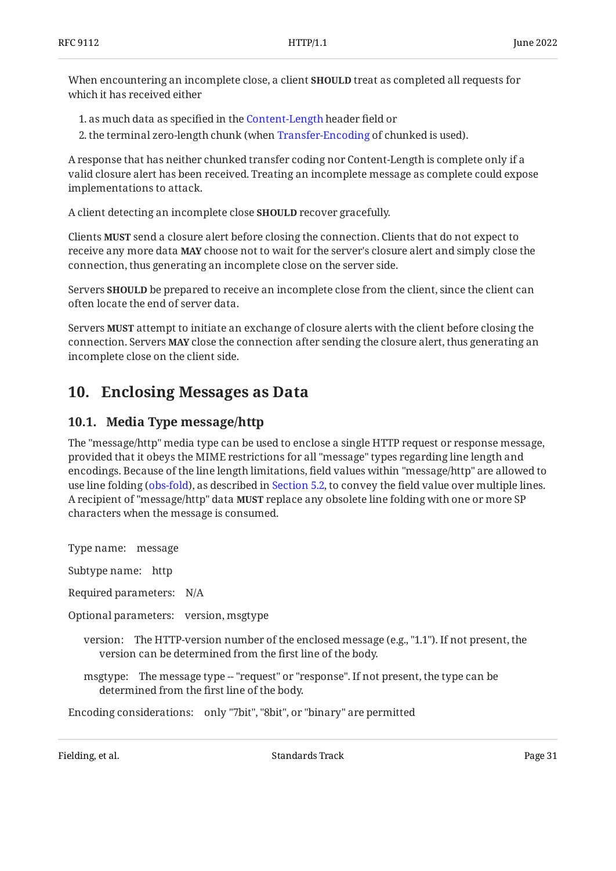When encountering an incomplete close, a client **SHOULD** treat as completed all requests for which it has received either

1. as much data as specified in the [Content-Length](#page-17-0) header field or

2. the terminal zero-length chunk (when [Transfer-Encoding](#page-15-1) of chunked is used).

A response that has neither chunked transfer coding nor Content-Length is complete only if a valid closure alert has been received. Treating an incomplete message as complete could expose implementations to attack.

A client detecting an incomplete close **SHOULD** recover gracefully.

Clients **MUST** send a closure alert before closing the connection. Clients that do not expect to receive any more data **MAY** choose not to wait for the server's closure alert and simply close the connection, thus generating an incomplete close on the server side.

Servers **SHOULD** be prepared to receive an incomplete close from the client, since the client can often locate the end of server data.

Servers **MUST** attempt to initiate an exchange of closure alerts with the client before closing the connection. Servers **MAY** close the connection after sending the closure alert, thus generating an incomplete close on the client side.

# <span id="page-30-1"></span><span id="page-30-0"></span>**[10. Enclosing Messages as Data](#page-30-0)**

## **[10.1. Media Type message/http](#page-30-1)**

The "message/http" media type can be used to enclose a single HTTP request or response message, provided that it obeys the MIME restrictions for all "message" types regarding line length and encodings. Because of the line length limitations, field values within "message/http" are allowed to use line folding ([obs-fold](#page-14-2)), as described in [Section 5.2](#page-14-2), to convey the field value over multiple lines. A recipient of "message/http" data **MUST** replace any obsolete line folding with one or more SP characters when the message is consumed.

Type name: message

Subtype name: http

Required parameters: N/A

Optional parameters: version, msgtype

version: The HTTP-version number of the enclosed message (e.g., "1.1"). If not present, the version can be determined from the first line of the body.

msgtype: The message type -- "request" or "response". If not present, the type can be determined from the first line of the body.

Encoding considerations: only "7bit", "8bit", or "binary" are permitted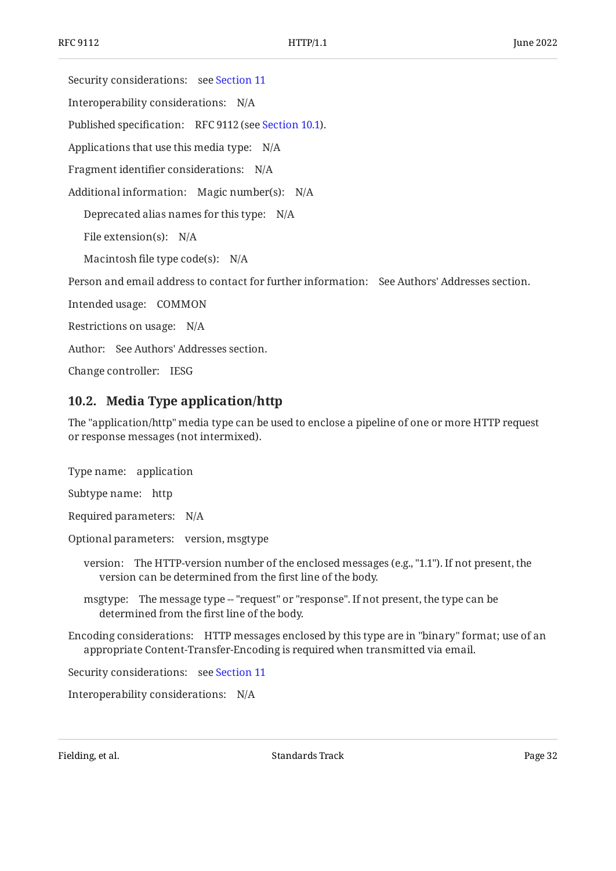Security considerations: see [Section 11](#page-32-0) Interoperability considerations: N/A Published specification: RFC 9112 (see [Section 10.1\)](#page-30-1). Applications that use this media type: N/A Fragment identifier considerations: N/A Additional information: Magic number(s): N/A Deprecated alias names for this type: N/A File extension(s): N/A Macintosh file type code(s): N/A Person and email address to contact for further information: See Authors' Addresses section. Intended usage: COMMON Restrictions on usage: N/A Author: See Authors' Addresses section. Change controller: IESG

## <span id="page-31-0"></span>**[10.2. Media Type application/http](#page-31-0)**

The "application/http" media type can be used to enclose a pipeline of one or more HTTP request

or response messages (not intermixed).

Type name: application

Subtype name: http

Required parameters: N/A

Optional parameters: version, msgtype

version: The HTTP-version number of the enclosed messages (e.g., "1.1"). If not present, the version can be determined from the first line of the body.

msgtype: The message type -- "request" or "response". If not present, the type can be determined from the first line of the body.

Encoding considerations: HTTP messages enclosed by this type are in "binary" format; use of an appropriate Content-Transfer-Encoding is required when transmitted via email.

Security considerations: see [Section 11](#page-32-0)

Interoperability considerations: N/A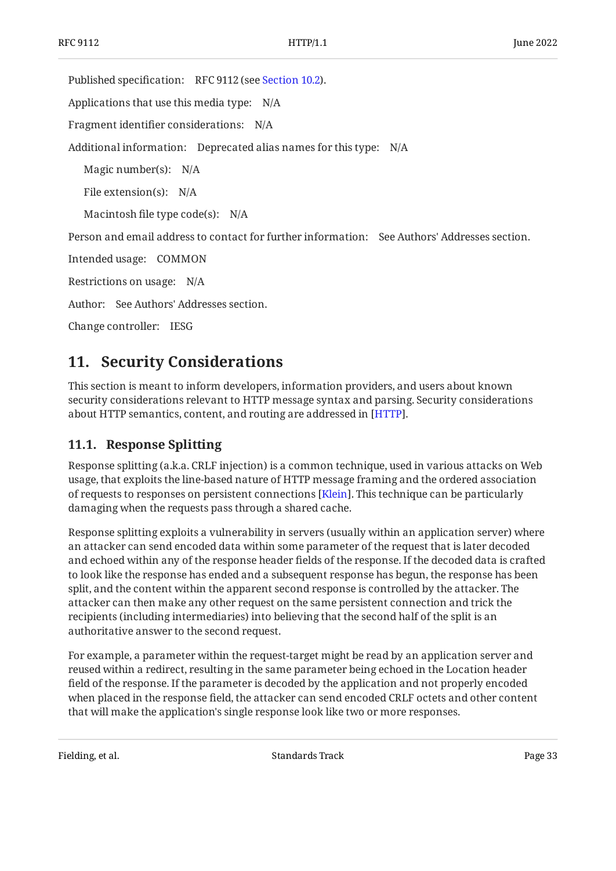Published specification: RFC 9112 (see [Section 10.2\)](#page-31-0).

Applications that use this media type: N/A

Fragment identifier considerations: N/A

Additional information: Deprecated alias names for this type: N/A

Magic number(s): N/A

File extension(s): N/A

Macintosh file type code(s): N/A

Person and email address to contact for further information: See Authors' Addresses section.

Intended usage: COMMON

Restrictions on usage: N/A

Author: See Authors' Addresses section.

<span id="page-32-0"></span>Change controller: IESG

# **[11. Security Considerations](#page-32-0)**

This section is meant to inform developers, information providers, and users about known security considerations relevant to HTTP message syntax and parsing. Security considerations about HTTP semantics, content, and routing are addressed in [\[HTTP](#page-35-3)].

## <span id="page-32-1"></span>**[11.1. Response Splitting](#page-32-1)**

Response splitting (a.k.a. CRLF injection) is a common technique, used in various attacks on Web usage, that exploits the line-based nature of HTTP message framing and the ordered association of requests to responses on persistent connections [\[Klein\]](#page-36-9). This technique can be particularly damaging when the requests pass through a shared cache.

Response splitting exploits a vulnerability in servers (usually within an application server) where an attacker can send encoded data within some parameter of the request that is later decoded and echoed within any of the response header fields of the response. If the decoded data is crafted to look like the response has ended and a subsequent response has begun, the response has been split, and the content within the apparent second response is controlled by the attacker. The attacker can then make any other request on the same persistent connection and trick the recipients (including intermediaries) into believing that the second half of the split is an authoritative answer to the second request.

For example, a parameter within the request-target might be read by an application server and reused within a redirect, resulting in the same parameter being echoed in the Location header field of the response. If the parameter is decoded by the application and not properly encoded when placed in the response field, the attacker can send encoded CRLF octets and other content that will make the application's single response look like two or more responses.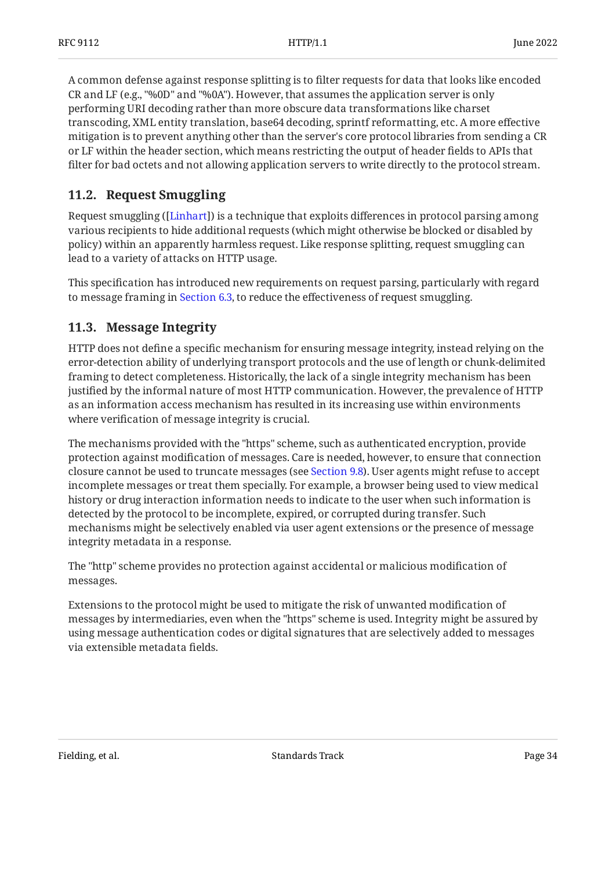A common defense against response splitting is to filter requests for data that looks like encoded CR and LF (e.g., "%0D" and "%0A"). However, that assumes the application server is only performing URI decoding rather than more obscure data transformations like charset transcoding, XML entity translation, base64 decoding, sprintf reformatting, etc. A more effective mitigation is to prevent anything other than the server's core protocol libraries from sending a CR or LF within the header section, which means restricting the output of header fields to APIs that filter for bad octets and not allowing application servers to write directly to the protocol stream.

## <span id="page-33-0"></span>**[11.2. Request Smuggling](#page-33-0)**

Request smuggling ([Linhart]) is a technique that exploits differences in protocol parsing among various recipients to hide additional requests (which might otherwise be blocked or disabled by policy) within an apparently harmless request. Like response splitting, request smuggling can lead to a variety of attacks on HTTP usage.

This specification has introduced new requirements on request parsing, particularly with regard to message framing in [Section 6.3](#page-17-1), to reduce the effectiveness of request smuggling.

## <span id="page-33-1"></span>**[11.3. Message Integrity](#page-33-1)**

HTTP does not define a specific mechanism for ensuring message integrity, instead relying on the error-detection ability of underlying transport protocols and the use of length or chunk-delimited framing to detect completeness. Historically, the lack of a single integrity mechanism has been justified by the informal nature of most HTTP communication. However, the prevalence of HTTP as an information access mechanism has resulted in its increasing use within environments where verification of message integrity is crucial.

The mechanisms provided with the "https" scheme, such as authenticated encryption, provide protection against modification of messages. Care is needed, however, to ensure that connection closure cannot be used to truncate messages (see [Section 9.8\)](#page-29-1). User agents might refuse to accept incomplete messages or treat them specially. For example, a browser being used to view medical history or drug interaction information needs to indicate to the user when such information is detected by the protocol to be incomplete, expired, or corrupted during transfer. Such mechanisms might be selectively enabled via user agent extensions or the presence of message integrity metadata in a response.

The "http" scheme provides no protection against accidental or malicious modification of messages.

Extensions to the protocol might be used to mitigate the risk of unwanted modification of messages by intermediaries, even when the "https" scheme is used. Integrity might be assured by using message authentication codes or digital signatures that are selectively added to messages via extensible metadata fields.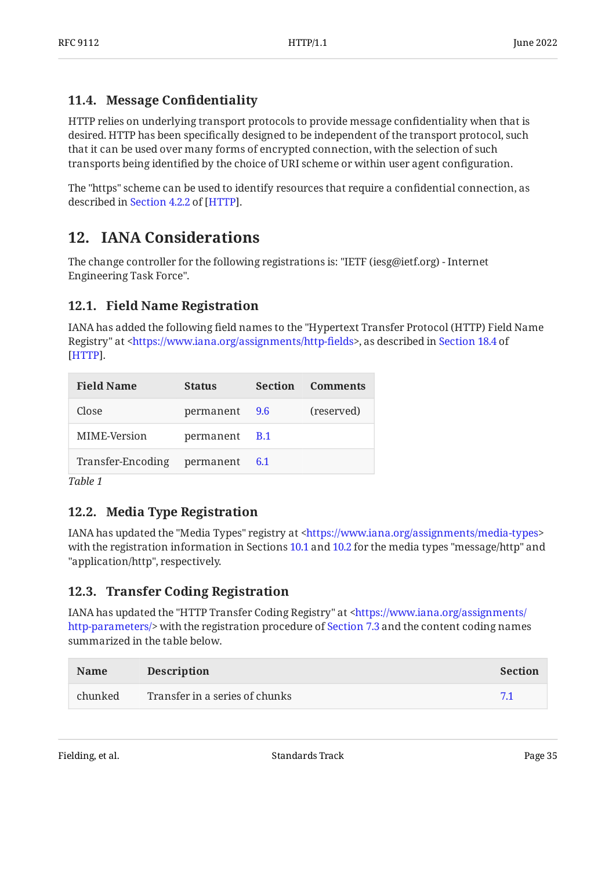## <span id="page-34-0"></span>**[11.4. Message Con](#page-34-0)fidentiality**

HTTP relies on underlying transport protocols to provide message confidentiality when that is desired. HTTP has been specifically designed to be independent of the transport protocol, such that it can be used over many forms of encrypted connection, with the selection of such transports being identified by the choice of URI scheme or within user agent configuration.

<span id="page-34-1"></span>The "https" scheme can be used to identify resources that require a confidential connection, as described in [Section 4.2.2](https://www.rfc-editor.org/rfc/rfc9110#section-4.2.2) of [[HTTP\]](#page-35-3).

# **[12. IANA Considerations](#page-34-1)**

The change controller for the following registrations is: "IETF (iesg@ietf.org) - Internet Engineering Task Force".

# <span id="page-34-2"></span>**[12.1. Field Name Registration](#page-34-2)**

IANA has added the following field names to the "Hypertext Transfer Protocol (HTTP) Field Name Registry" at <https://www.iana.org/assignments/http-fields>, as described in [Section 18.4](https://www.rfc-editor.org/rfc/rfc9110#section-18.4) of . [[HTTP\]](#page-35-3)

<span id="page-34-5"></span>

| <b>Field Name</b>               | <b>Status</b> | <b>Section Comments</b> |
|---------------------------------|---------------|-------------------------|
| Close                           | permanent 9.6 | (reserved)              |
| MIME-Version                    | permanent B.1 |                         |
| Transfer-Encoding permanent 6.1 |               |                         |
|                                 |               |                         |

<span id="page-34-3"></span>*[Table 1](#page-34-5)*

# **[12.2. Media Type Registration](#page-34-3)**

IANA has updated the "Media Types" registry at [<https://www.iana.org/assignments/media-types](https://www.iana.org/assignments/media-types)> with the registration information in Sections [10.1](#page-30-1) and [10.2](#page-31-0) for the media types "message/http" and "application/http", respectively.

# <span id="page-34-4"></span>**[12.3. Transfer Coding Registration](#page-34-4)**

IANA has updated the "HTTP Transfer Coding Registry" at [<https://www.iana.org/assignments/](https://www.iana.org/assignments/http-parameters/) http-parameters/> with the registration procedure of [Section 7.3](#page-22-1) and the content coding names summarized in the table below.

<span id="page-34-6"></span>

| <b>Name</b> | <b>Description</b>             | Section |
|-------------|--------------------------------|---------|
| chunked     | Transfer in a series of chunks | 71      |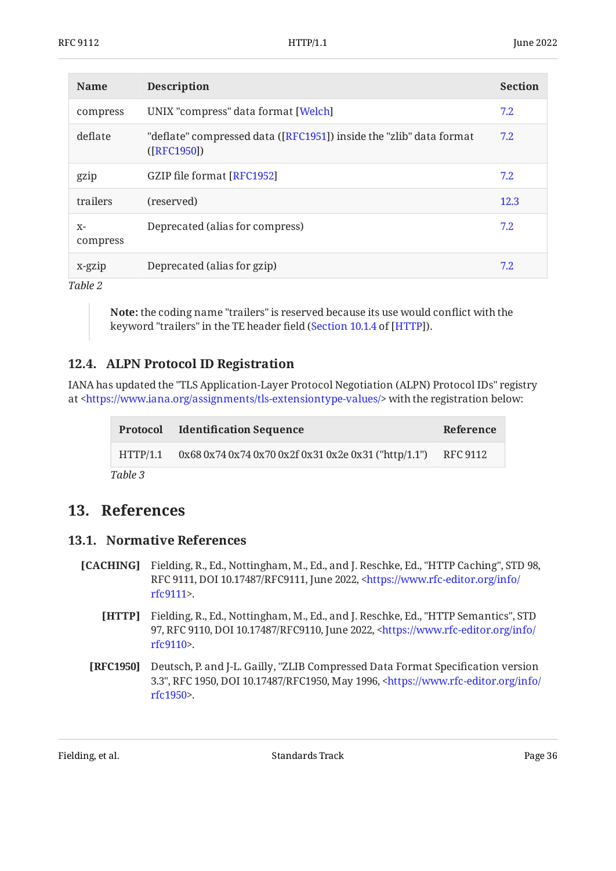| <b>Name</b>      | <b>Description</b>                                                                  | <b>Section</b> |
|------------------|-------------------------------------------------------------------------------------|----------------|
| compress         | UNIX "compress" data format [Welch]                                                 | 7.2            |
| deflate          | "deflate" compressed data ([RFC1951]) inside the "zlib" data format<br>( [RFC1950]) | 7.2            |
| gzip             | GZIP file format [RFC1952]                                                          | 7.2            |
| trailers         | (reserved)                                                                          | 12.3           |
| $X-$<br>compress | Deprecated (alias for compress)                                                     | 7.2            |
| x-gzip           | Deprecated (alias for gzip)                                                         | 7.2            |

*[Table 2](#page-34-6)*

**Note:** the coding name "trailers" is reserved because its use would conflict with the keyword "trailers" in the TE header field ([Section 10.1.4](https://www.rfc-editor.org/rfc/rfc9110#section-10.1.4) of [[HTTP](#page-35-3)]).

## <span id="page-35-0"></span>**[12.4. ALPN Protocol ID Registration](#page-35-0)**

IANA has updated the "TLS Application-Layer Protocol Negotiation (ALPN) Protocol IDs" registry at <https://www.iana.org/assignments/tls-extensiontype-values/> with the registration below:

<span id="page-35-6"></span>

|         | <b>Protocol</b> Identification Sequence                                | Reference |
|---------|------------------------------------------------------------------------|-----------|
|         | HTTP/1.1 0x68 0x74 0x74 0x70 0x2f 0x31 0x2e 0x31 ("http/1.1") RFC 9112 |           |
| Table 3 |                                                                        |           |

# <span id="page-35-2"></span><span id="page-35-1"></span>**[13. References](#page-35-1)**

## **[13.1. Normative References](#page-35-2)**

- <span id="page-35-4"></span><span id="page-35-3"></span>**[CACHING]** Fielding, R., Ed., Nottingham, M., Ed., and J. Reschke, Ed., "HTTP Caching", STD 98, RFC 9111, DOI 10.17487/RFC9111, June 2022, [<https://www.rfc-editor.org/info/](https://www.rfc-editor.org/info/rfc9111) . [rfc9111](https://www.rfc-editor.org/info/rfc9111)>
	- **[HTTP]** Fielding, R., Ed., Nottingham, M., Ed., and J. Reschke, Ed., "HTTP Semantics", STD 97, RFC 9110, DOI 10.17487/RFC9110, June 2022, [<https://www.rfc-editor.org/info/](https://www.rfc-editor.org/info/rfc9110) . [rfc9110](https://www.rfc-editor.org/info/rfc9110)>
	- **[RFC1950]** Deutsch, P. and J-L. Gailly, "ZLIB Compressed Data Format Specification version 3.3", RFC 1950, DOI 10.17487/RFC1950, May 1996, [<https://www.rfc-editor.org/info/](https://www.rfc-editor.org/info/rfc1950) . [rfc1950](https://www.rfc-editor.org/info/rfc1950)>

<span id="page-35-5"></span>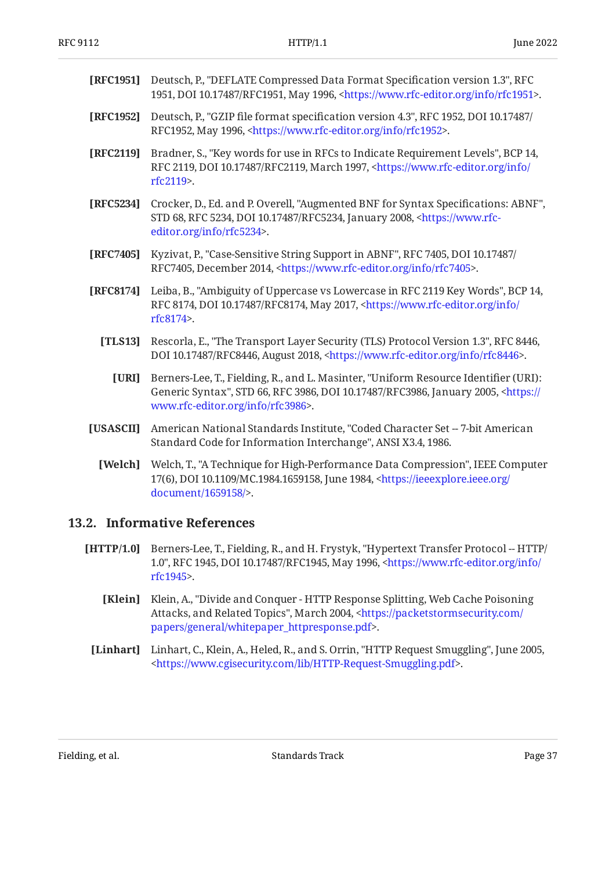<span id="page-36-13"></span><span id="page-36-12"></span><span id="page-36-3"></span><span id="page-36-1"></span>

| [RFC1951]    | Deutsch, P., "DEFLATE Compressed Data Format Specification version 1.3", RFC<br>1951, DOI 10.17487/RFC1951, May 1996, <https: info="" rfc1951="" www.rfc-editor.org="">.</https:>                       |
|--------------|---------------------------------------------------------------------------------------------------------------------------------------------------------------------------------------------------------|
| [RFC1952]    | Deutsch, P., "GZIP file format specification version 4.3", RFC 1952, DOI 10.17487/<br>RFC1952, May 1996, <https: info="" rfc1952="" www.rfc-editor.org="">.</https:>                                    |
| [RFC2119]    | Bradner, S., "Key words for use in RFCs to Indicate Requirement Levels", BCP 14,<br>RFC 2119, DOI 10.17487/RFC2119, March 1997, <https: <br="" info="" www.rfc-editor.org="">rfc2119&gt;.</https:>      |
| [RFC5234]    | Crocker, D., Ed. and P. Overell, "Augmented BNF for Syntax Specifications: ABNF",<br>STD 68, RFC 5234, DOI 10.17487/RFC5234, January 2008, <https: www.rfc-<br="">editor.org/info/rfc5234&gt;.</https:> |
| [RFC7405]    | Kyzivat, P., "Case-Sensitive String Support in ABNF", RFC 7405, DOI 10.17487/<br>RFC7405, December 2014, <https: info="" rfc7405="" www.rfc-editor.org="">.</https:>                                    |
| [RFC8174]    | Leiba, B., "Ambiguity of Uppercase vs Lowercase in RFC 2119 Key Words", BCP 14,<br>RFC 8174, DOI 10.17487/RFC8174, May 2017, <https: <br="" info="" www.rfc-editor.org="">rfc8174&gt;.</https:>         |
| [TLS13]      | Rescorla, E., "The Transport Layer Security (TLS) Protocol Version 1.3", RFC 8446,<br>DOI 10.17487/RFC8446, August 2018, <https: info="" rfc8446="" www.rfc-editor.org="">.</https:>                    |
| <b>TURI1</b> | Berners-Lee, T., Fielding, R., and L. Masinter, "Uniform Resource Identifier (URI):                                                                                                                     |

- <span id="page-36-8"></span><span id="page-36-6"></span><span id="page-36-4"></span><span id="page-36-2"></span>**[URI]** , Fielding, R., and L. Masinter, Generic Syntax", STD 66, RFC 3986, DOI 10.17487/RFC3986, January 2005, [<https://](https://www.rfc-editor.org/info/rfc3986) . [www.rfc-editor.org/info/rfc3986>](https://www.rfc-editor.org/info/rfc3986) Berners-Lee, T., Fielding, R., and L. Masinter, "Uniform Resource Identifier (URI):
- <span id="page-36-11"></span><span id="page-36-5"></span>**[USASCII]** American National Standards Institute, "Coded Character Set -- 7-bit American Standard Code for Information Interchange", ANSI X3.4, 1986.
	- **[Welch]** Welch, T., "A Technique for High-Performance Data Compression", IEEE Computer 17(6), DOI 10.1109/MC.1984.1659158, June 1984, [<https://ieeexplore.ieee.org/](https://ieeexplore.ieee.org/document/1659158/) . [document/1659158/](https://ieeexplore.ieee.org/document/1659158/)>

#### <span id="page-36-0"></span>**[13.2. Informative References](#page-36-0)**

- <span id="page-36-10"></span><span id="page-36-9"></span><span id="page-36-7"></span>**[HTTP/1.0]** Berners-Lee, T., Fielding, R., and H. Frystyk, "Hypertext Transfer Protocol -- HTTP/ 1.0", RFC 1945, DOI 10.17487/RFC1945, May 1996, [<https://www.rfc-editor.org/info/](https://www.rfc-editor.org/info/rfc1945) . [rfc1945](https://www.rfc-editor.org/info/rfc1945)>
	- **[Klein]** Klein, A., "Divide and Conquer HTTP Response Splitting, Web Cache Poisoning Attacks, and Related Topics", March 2004, [<https://packetstormsecurity.com/](https://packetstormsecurity.com/papers/general/whitepaper_httpresponse.pdf) . [papers/general/whitepaper\\_httpresponse.pdf>](https://packetstormsecurity.com/papers/general/whitepaper_httpresponse.pdf)
	- [Linhart] Linhart, C., Klein, A., Heled, R., and S. Orrin, "HTTP Request Smuggling", June 2005, . [<https://www.cgisecurity.com/lib/HTTP-Request-Smuggling.pdf>](https://www.cgisecurity.com/lib/HTTP-Request-Smuggling.pdf)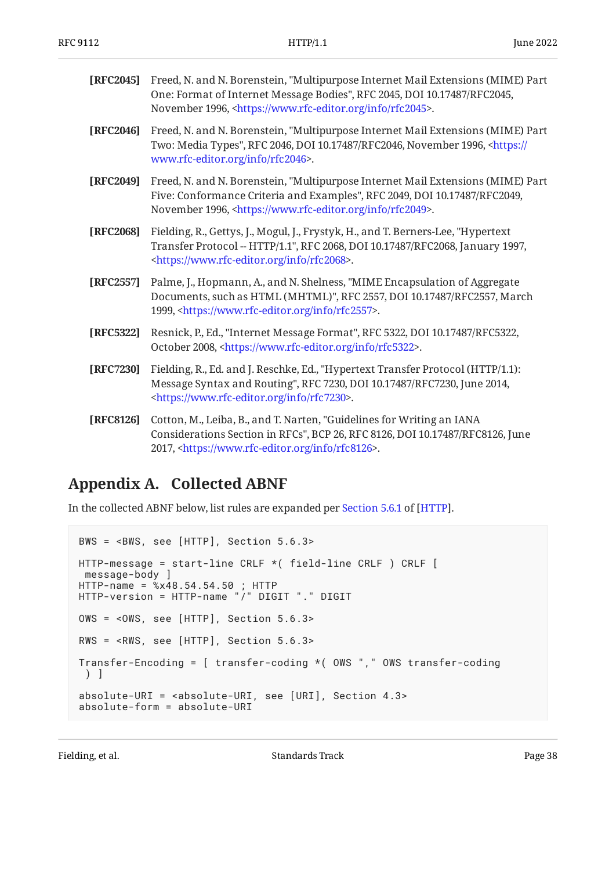<span id="page-37-3"></span>

| <b>[RFC2045]</b> Freed, N. and N. Borenstein, "Multipurpose Internet Mail Extensions (MIME) Part |
|--------------------------------------------------------------------------------------------------|
| One: Format of Internet Message Bodies", RFC 2045, DOI 10.17487/RFC2045,                         |
| November 1996, <https: info="" rfc2045="" www.rfc-editor.org="">.</https:>                       |

- <span id="page-37-6"></span>**[RFC2046]** Freed, N. and N. Borenstein, "Multipurpose Internet Mail Extensions (MIME) Part Two: Media Types", RFC 2046, DOI 10.17487/RFC2046, November 1996, <[https://](https://www.rfc-editor.org/info/rfc2046) . [www.rfc-editor.org/info/rfc2046>](https://www.rfc-editor.org/info/rfc2046)
- <span id="page-37-5"></span>**[RFC2049]** Freed, N. and N. Borenstein, "Multipurpose Internet Mail Extensions (MIME) Part Five: Conformance Criteria and Examples", RFC 2049, DOI 10.17487/RFC2049, November 1996, <https://www.rfc-editor.org/info/rfc2049>.
- <span id="page-37-8"></span>**[RFC2068]** Fielding, R., Gettys, J., Mogul, J., Frystyk, H., and T. Berners-Lee, "Hypertext Transfer Protocol -- HTTP/1.1", RFC 2068, DOI 10.17487/RFC2068, January 1997, . [<https://www.rfc-editor.org/info/rfc2068](https://www.rfc-editor.org/info/rfc2068)>
- <span id="page-37-7"></span>**[RFC2557]** Palme, J., Hopmann, A., and N. Shelness, "MIME Encapsulation of Aggregate Documents, such as HTML (MHTML)", RFC 2557, DOI 10.17487/RFC2557, March 1999, <https://www.rfc-editor.org/info/rfc2557>.
- <span id="page-37-2"></span>**[RFC5322]** Resnick, P., Ed., "Internet Message Format", RFC 5322, DOI 10.17487/RFC5322, October 2008, <https://www.rfc-editor.org/info/rfc5322>.
- <span id="page-37-1"></span>**[RFC7230]** Fielding, R., Ed. and J. Reschke, Ed., "Hypertext Transfer Protocol (HTTP/1.1): Message Syntax and Routing", RFC 7230, DOI 10.17487/RFC7230, June 2014, . [<https://www.rfc-editor.org/info/rfc7230](https://www.rfc-editor.org/info/rfc7230)>
- <span id="page-37-4"></span>**[RFC8126]** Cotton, M., Leiba, B., and T. Narten, "Guidelines for Writing an IANA Considerations Section in RFCs", BCP 26, RFC 8126, DOI 10.17487/RFC8126, June 2017, <https://www.rfc-editor.org/info/rfc8126>.

# <span id="page-37-0"></span>**[Appendix A. Collected ABNF](#page-37-0)**

In the collected ABNF below, list rules are expanded per [Section 5.6.1](https://www.rfc-editor.org/rfc/rfc9110#section-5.6.1) of [\[HTTP](#page-35-3)].

```
BWS = <BWS, see [HTTP], Section 5.6.3>
HTTP-message = start-line CRLF *( field-line CRLF ) CRLF [
  message-body ]
HTTP-name = %x48.54.54.50 ; HTTP
HTTP-version = HTTP-name "/" DIGIT "." DIGIT
OWS = <OWS, see [HTTP], Section 5.6.3>
RWS = <RWS, see [HTTP], Section 5.6.3>
Transfer-Encoding = [ transfer-coding *( OWS "," OWS transfer-coding
 ) ]
absolute-URI = <absolute-URI, see [URI], Section 4.3>
absolute-form = absolute-URI
```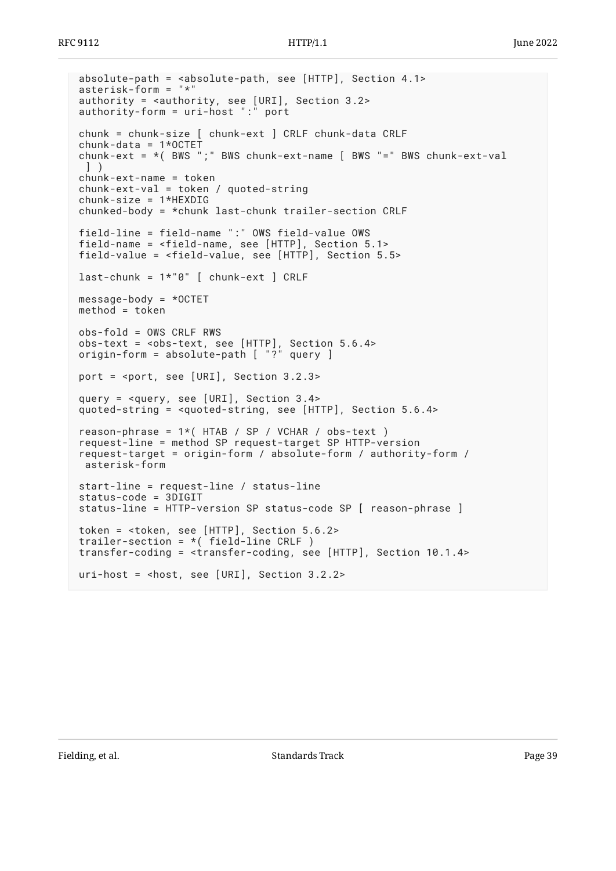```
absolute-path = <absolute-path, see [HTTP], Section 4.1>
asterisk-form = "*"
authority = <authority, see [URI], Section 3.2>
authority-form = uri-host ":" port
chunk = chunk-size [ chunk-ext ] CRLF chunk-data CRLF
chunk-data = 1*OCTET
chunk-ext = *( BWS ";" BWS chunk-ext-name [ BWS "=" BWS chunk-ext-val
  ] )
chunk-ext-name = token
chunk-ext-val = token / quoted-string
chunk-size = 1*HEXDIG
chunked-body = *chunk last-chunk trailer-section CRLF
field-line = field-name ":" OWS field-value OWS
field-name = <field-name, see [HTTP], Section 5.1>
field-value = <field-value, see [HTTP], Section 5.5>
last-chunk = 1*"0" [ chunk-ext ] CRLF
message-body = *OCTET
method = token
obs-fold = OWS CRLF RWS
obs-text = <obs-text, see [HTTP], Section 5.6.4>
origin-form = absolute-path [ "?" query ]
port = <port, see [URI], Section 3.2.3>
query = <query, see [URI], Section 3.4>
quoted-string = <quoted-string, see [HTTP], Section 5.6.4>
reason-phrase = 1*( HTAB / SP / VCHAR / obs-text )
request-line = method SP request-target SP HTTP-version
request-target = origin-form / absolute-form / authority-form /
 asterisk-form
start-line = request-line / status-line
status-code = 3DIGIT
status-line = HTTP-version SP status-code SP [ reason-phrase ]
token = <token, see [HTTP], Section 5.6.2>
trailer-section = *( field-line CRLF )
transfer-coding = <transfer-coding, see [HTTP], Section 10.1.4>
uri-host = <host, see [URI], Section 3.2.2>
```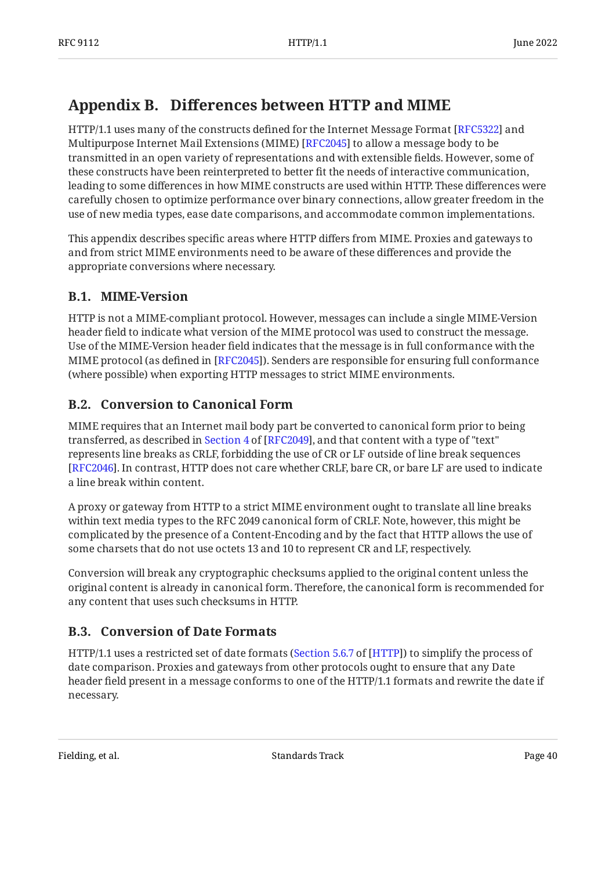# <span id="page-39-0"></span>**[Appendix B. D](#page-39-0)iff[erences between HTTP and MIME](#page-39-0)**

HTTP/1.1 uses many of the constructs defined for the Internet Message Format [RFC5322] and Multipurpose Internet Mail Extensions (MIME) [RFC2045] to allow a message body to be transmitted in an open variety of representations and with extensible fields. However, some of these constructs have been reinterpreted to better fit the needs of interactive communication, leading to some differences in how MIME constructs are used within HTTP. These differences were carefully chosen to optimize performance over binary connections, allow greater freedom in the use of new media types, ease date comparisons, and accommodate common implementations.

This appendix describes specific areas where HTTP differs from MIME. Proxies and gateways to and from strict MIME environments need to be aware of these differences and provide the appropriate conversions where necessary.

# <span id="page-39-1"></span>**[B.1. MIME-Version](#page-39-1)**

HTTP is not a MIME-compliant protocol. However, messages can include a single MIME-Version header field to indicate what version of the MIME protocol was used to construct the message. Use of the MIME-Version header field indicates that the message is in full conformance with the MIME protocol (as defined in [RFC2045]). Senders are responsible for ensuring full conformance (where possible) when exporting HTTP messages to strict MIME environments.

# <span id="page-39-2"></span>**[B.2. Conversion to Canonical Form](#page-39-2)**

MIME requires that an Internet mail body part be converted to canonical form prior to being transferred,as described in Section 4 of [RFC2049], and that content with a type of "text"  $\,$ represents line breaks as CRLF, forbidding the use of CR or LF outside of line break sequences . In contrast, HTTP does not care whether CRLF, bare CR, or bare LF are used to indicate [[RFC2046\]](#page-37-6) a line break within content.

A proxy or gateway from HTTP to a strict MIME environment ought to translate all line breaks within text media types to the RFC 2049 canonical form of CRLF. Note, however, this might be complicated by the presence of a Content-Encoding and by the fact that HTTP allows the use of some charsets that do not use octets 13 and 10 to represent CR and LF, respectively.

Conversion will break any cryptographic checksums applied to the original content unless the original content is already in canonical form. Therefore, the canonical form is recommended for any content that uses such checksums in HTTP.

# <span id="page-39-3"></span>**[B.3. Conversion of Date Formats](#page-39-3)**

HTTP/1.1 uses a restricted set of date formats ([Section 5.6.7](https://www.rfc-editor.org/rfc/rfc9110#section-5.6.7) of [[HTTP](#page-35-3)]) to simplify the process of date comparison. Proxies and gateways from other protocols ought to ensure that any Date header field present in a message conforms to one of the HTTP/1.1 formats and rewrite the date if necessary.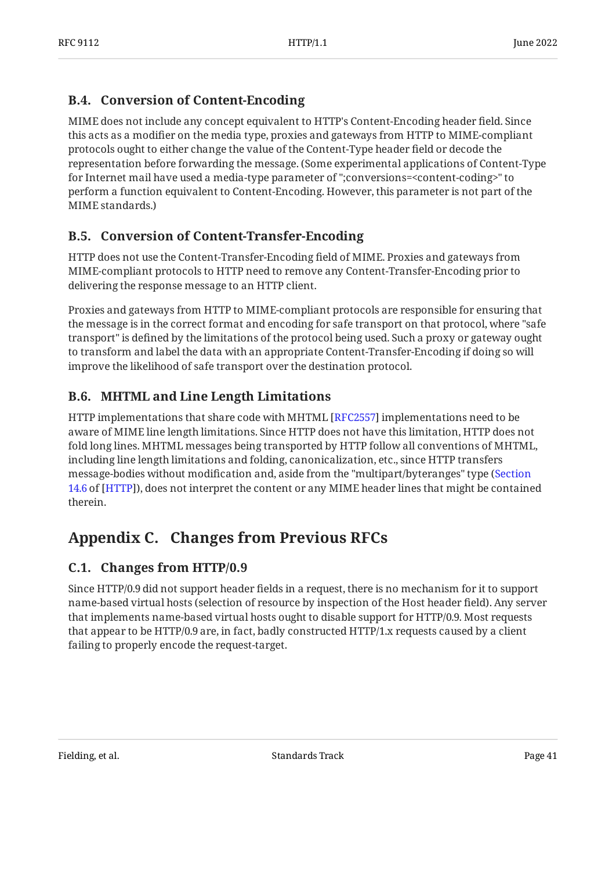# <span id="page-40-0"></span>**[B.4. Conversion of Content-Encoding](#page-40-0)**

MIME does not include any concept equivalent to HTTP's Content-Encoding header field. Since this acts as a modifier on the media type, proxies and gateways from HTTP to MIME-compliant protocols ought to either change the value of the Content-Type header field or decode the representation before forwarding the message. (Some experimental applications of Content-Type for Internet mail have used a media-type parameter of ";conversions=<content-coding>" to perform a function equivalent to Content-Encoding. However, this parameter is not part of the MIME standards.)

# <span id="page-40-1"></span>**[B.5. Conversion of Content-Transfer-Encoding](#page-40-1)**

HTTP does not use the Content-Transfer-Encoding field of MIME. Proxies and gateways from MIME-compliant protocols to HTTP need to remove any Content-Transfer-Encoding prior to delivering the response message to an HTTP client.

Proxies and gateways from HTTP to MIME-compliant protocols are responsible for ensuring that the message is in the correct format and encoding for safe transport on that protocol, where "safe transport" is defined by the limitations of the protocol being used. Such a proxy or gateway ought to transform and label the data with an appropriate Content-Transfer-Encoding if doing so will improve the likelihood of safe transport over the destination protocol.

# <span id="page-40-2"></span>**[B.6. MHTML and Line Length Limitations](#page-40-2)**

HTTP implementations that share code with MHTML [\[RFC2557\]](#page-37-7) implementations need to be aware of MIME line length limitations. Since HTTP does not have this limitation, HTTP does not fold long lines. MHTML messages being transported by HTTP follow all conventions of MHTML, including line length limitations and folding, canonicalization, etc., since HTTP transfers message-bodies without modification and, aside from the "multipart/byteranges" type ( [Section](https://www.rfc-editor.org/rfc/rfc9110#section-14.6) [14.6](https://www.rfc-editor.org/rfc/rfc9110#section-14.6) of [[HTTP](#page-35-3)]), does not interpret the content or any MIME header lines that might be contained therein.

# <span id="page-40-4"></span><span id="page-40-3"></span>**[Appendix C. Changes from Previous RFCs](#page-40-3)**

# **[C.1. Changes from HTTP/0.9](#page-40-4)**

Since HTTP/0.9 did not support header fields in a request, there is no mechanism for it to support name-based virtual hosts (selection of resource by inspection of the Host header field). Any server that implements name-based virtual hosts ought to disable support for HTTP/0.9. Most requests that appear to be HTTP/0.9 are, in fact, badly constructed HTTP/1.x requests caused by a client failing to properly encode the request-target.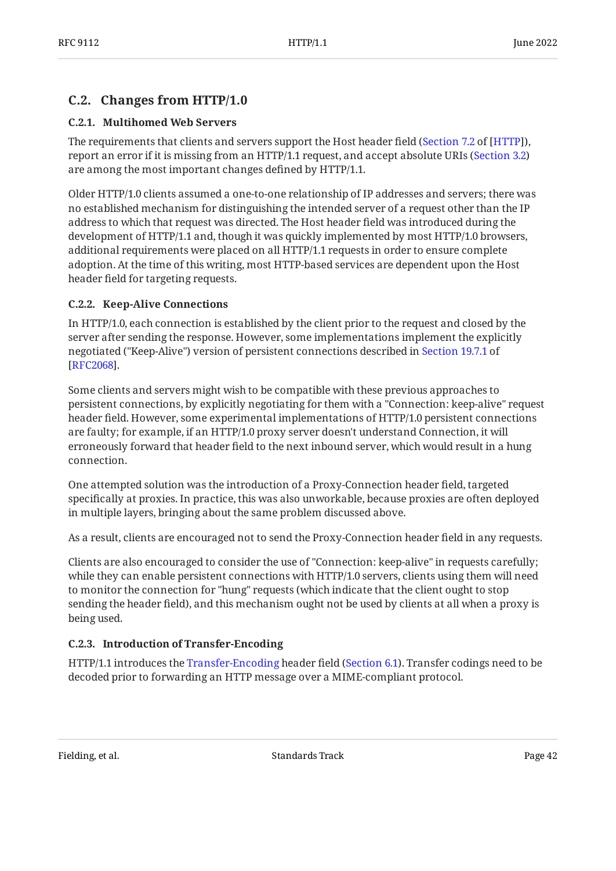## <span id="page-41-1"></span><span id="page-41-0"></span>**[C.2. Changes from HTTP/1.0](#page-41-0)**

#### **[C.2.1. Multihomed Web Servers](#page-41-1)**

The requirements that clients and servers support the Host header field (Section 7.2 of [HTTP]), report an error if it is missing from an HTTP/1.1 request, and accept absolute URIs ([Section 3.2](#page-8-2)) are among the most important changes defined by HTTP/1.1.

Older HTTP/1.0 clients assumed a one-to-one relationship of IP addresses and servers; there was no established mechanism for distinguishing the intended server of a request other than the IP address to which that request was directed. The Host header field was introduced during the development of HTTP/1.1 and, though it was quickly implemented by most HTTP/1.0 browsers, additional requirements were placed on all HTTP/1.1 requests in order to ensure complete adoption. At the time of this writing, most HTTP-based services are dependent upon the Host header field for targeting requests.

#### <span id="page-41-2"></span>**[C.2.2. Keep-Alive Connections](#page-41-2)**

In HTTP/1.0, each connection is established by the client prior to the request and closed by the server after sending the response. However, some implementations implement the explicitly negotiated ("Keep-Alive") version of persistent connections described in [Section 19.7.1](https://www.rfc-editor.org/rfc/rfc2068#section-19.7.1) of . [[RFC2068\]](#page-37-8)

Some clients and servers might wish to be compatible with these previous approaches to persistent connections, by explicitly negotiating for them with a "Connection: keep-alive" request header field. However, some experimental implementations of HTTP/1.0 persistent connections are faulty; for example, if an HTTP/1.0 proxy server doesn't understand Connection, it will erroneously forward that header field to the next inbound server, which would result in a hung connection.

One attempted solution was the introduction of a Proxy-Connection header field, targeted specifically at proxies. In practice, this was also unworkable, because proxies are often deployed in multiple layers, bringing about the same problem discussed above.

As a result, clients are encouraged not to send the Proxy-Connection header field in any requests.

Clients are also encouraged to consider the use of "Connection: keep-alive" in requests carefully; while they can enable persistent connections with HTTP/1.0 servers, clients using them will need to monitor the connection for "hung" requests (which indicate that the client ought to stop sending the header field), and this mechanism ought not be used by clients at all when a proxy is being used.

## <span id="page-41-3"></span>**[C.2.3. Introduction of Transfer-Encoding](#page-41-3)**

HTTP/1.1 introduces the [Transfer-Encoding](#page-15-1) header field [\(Section 6.1](#page-15-1)). Transfer codings need to be decoded prior to forwarding an HTTP message over a MIME-compliant protocol.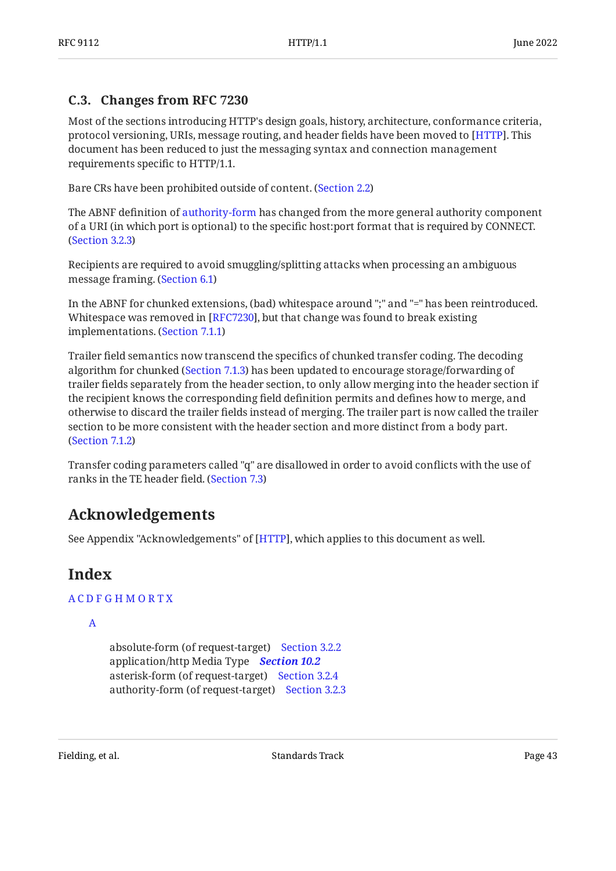## <span id="page-42-0"></span>**[C.3. Changes from RFC 7230](#page-42-0)**

Most of the sections introducing HTTP's design goals, history, architecture, conformance criteria, protocol versioning, URIs, message routing, and header fields have been moved to [[HTTP\]](#page-35-3). This document has been reduced to just the messaging syntax and connection management requirements specific to HTTP/1.1.

Bare CRs have been prohibited outside of content. [\(Section 2.2](#page-6-0))

The ABNF definition of [authority-form](#page-10-1) has changed from the more general authority component of a URI (in which port is optional) to the specific host:port format that is required by CONNECT. ([Section 3.2.3\)](#page-10-1)

Recipients are required to avoid smuggling/splitting attacks when processing an ambiguous message framing. ([Section 6.1](#page-15-1))

In the ABNF for chunked extensions, (bad) whitespace around ";" and "=" has been reintroduced. Whitespace was removed in [RFC7230], but that change was found to break existing implementations. ([Section 7.1.1\)](#page-20-1)

Trailer field semantics now transcend the specifics of chunked transfer coding. The decoding algorithm for chunked ([Section 7.1.3\)](#page-21-1) has been updated to encourage storage/forwarding of trailer fields separately from the header section, to only allow merging into the header section if the recipient knows the corresponding field definition permits and defines how to merge, and otherwise to discard the trailer fields instead of merging. The trailer part is now called the trailer section to be more consistent with the header section and more distinct from a body part. ([Section 7.1.2\)](#page-21-0)

<span id="page-42-1"></span>Transfer coding parameters called "q" are disallowed in order to avoid conflicts with the use of ranks in the TE header field. ([Section 7.3](#page-22-1))

# **[Acknowledgements](#page-42-1)**

<span id="page-42-2"></span>See Appendix "Acknowledgements" of [HTTP], which applies to this document as well.

# **[Index](#page-42-2)**

## [A](#page-42-3) [C](#page-43-0) [D](#page-43-1) [F](#page-43-2) [G](#page-43-3) [H](#page-44-0) [M](#page-44-1) [O](#page-44-2) [R](#page-44-3) [T](#page-44-4) [X](#page-45-1)

<span id="page-42-3"></span>[A](#page-42-3)

absolute-form (of request-target) [Section 3.2.2](#page-10-0) application/http Media Type *[Section 10.2](#page-31-0)* asterisk-form (of request-target) [Section 3.2.4](#page-11-0) authority-form (of request-target) [Section 3.2.3](#page-10-1)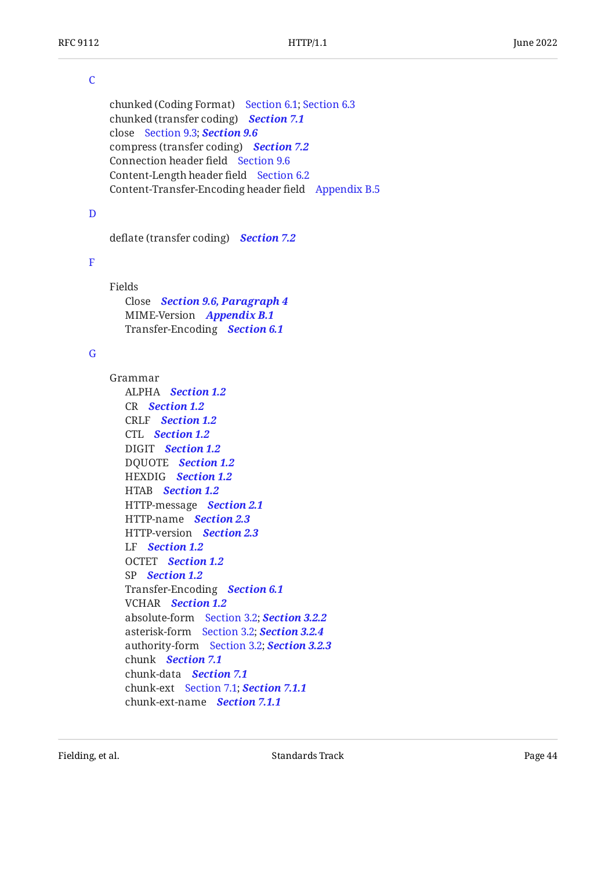#### <span id="page-43-0"></span> $\overline{C}$  $\overline{C}$  $\overline{C}$

chunked (Coding Format) [Section 6.1](#page-15-1); [Section 6.3](#page-17-1) chunked (transfer coding) *[Section 7.1](#page-20-0)* close [Section 9.3](#page-25-2); *[Section 9.6](#page-28-0)* compress (transfer coding) *[Section 7.2](#page-22-0)* Connection header field [Section 9.6](#page-28-0) Content-Length header field [Section 6.2](#page-17-0) Content-Transfer-Encoding header field [Appendix B.5](#page-40-1)

#### <span id="page-43-1"></span>[D](#page-43-1)

deflate (transfer coding) *[Section 7.2](#page-22-0)*

#### <span id="page-43-2"></span>[F](#page-43-2)

Fields Close *[Section 9.6, Paragraph 4](#page-28-1)* MIME-Version *[Appendix B.1](#page-39-1)* Transfer-Encoding *[Section 6.1](#page-15-1)*

#### <span id="page-43-3"></span>[G](#page-43-3)

Grammar ALPHA *[Section 1.2](#page-4-2)* CR *[Section 1.2](#page-4-2)* CRLF *[Section 1.2](#page-4-2)* CTL *[Section 1.2](#page-4-2)* DIGIT *[Section 1.2](#page-4-2)* DQUOTE *[Section 1.2](#page-4-2)* HEXDIG *[Section 1.2](#page-4-2)* HTAB *[Section 1.2](#page-4-2)* HTTP-message *[Section 2.1](#page-5-1)* HTTP-name *[Section 2.3](#page-7-0)* HTTP-version *[Section 2.3](#page-7-0)* LF *[Section 1.2](#page-4-2)* OCTET *[Section 1.2](#page-4-2)* SP *[Section 1.2](#page-4-2)* Transfer-Encoding *[Section 6.1](#page-15-1)* VCHAR *[Section 1.2](#page-4-2)* absolute-form [Section 3.2](#page-8-2); *[Section 3.2.2](#page-10-0)* asterisk-form [Section 3.2](#page-8-2); *[Section 3.2.4](#page-11-0)* authority-form [Section 3.2](#page-8-2); *[Section 3.2.3](#page-10-1)* chunk *[Section 7.1](#page-20-0)* chunk-data *[Section 7.1](#page-20-0)* chunk-ext [Section 7.1](#page-20-0); *[Section 7.1.1](#page-20-1)* chunk-ext-name *[Section 7.1.1](#page-20-1)*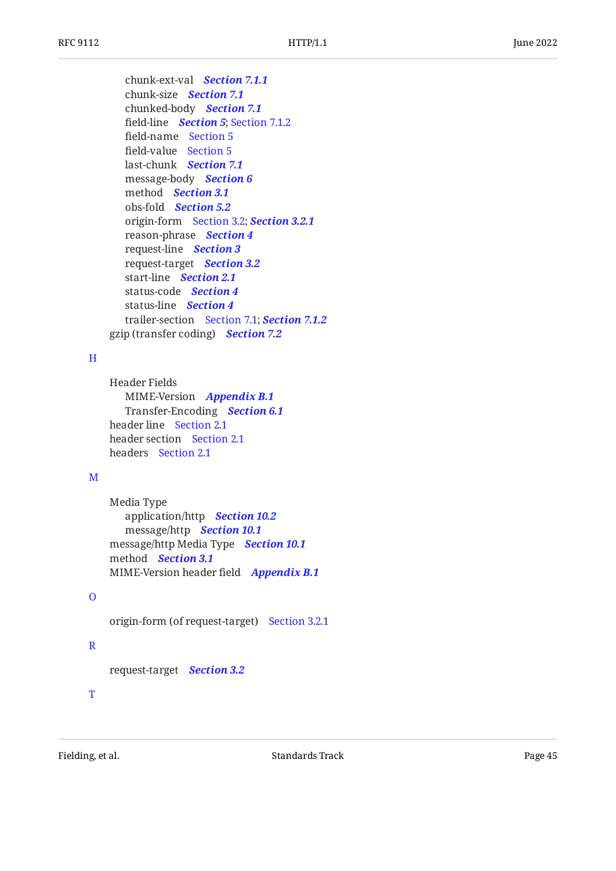chunk-ext-val *[Section 7.1.1](#page-20-1)* chunk-size *[Section 7.1](#page-20-0)* chunked-body *[Section 7.1](#page-20-0)* field-line *[Section 5](#page-14-0)*; [Section 7.1.2](#page-21-0) field-name [Section 5](#page-14-0) field-value [Section 5](#page-14-0) last-chunk *[Section 7.1](#page-20-0)* message-body *[Section 6](#page-15-0)* method *[Section 3.1](#page-8-1)* obs-fold *[Section 5.2](#page-14-2)* origin-form [Section 3.2](#page-8-2); *[Section 3.2.1](#page-9-0)* reason-phrase *[Section 4](#page-13-0)* request-line *[Section 3](#page-8-0)* request-target *[Section 3.2](#page-8-2)* start-line *[Section 2.1](#page-5-1)* status-code *[Section 4](#page-13-0)* status-line *[Section 4](#page-13-0)* trailer-section [Section 7.1](#page-20-0); *[Section 7.1.2](#page-21-0)* gzip (transfer coding) *[Section 7.2](#page-22-0)*

#### <span id="page-44-0"></span>[H](#page-44-0)

```
Header Fields
   MIME-Version
Appendix B.1
   Transfer-Encoding
Section 6.1
header line
Section 2.1
header section
Section 2.1
headers
Section 2.1
```
## <span id="page-44-1"></span>[M](#page-44-1)

```
Media Type
   application/http
Section 10.2
   message/http
Section 10.1
message/http Media Type
Section 10.1
method
Section 3.1
MIME-Version header field
Appendix B.1
```
#### <span id="page-44-2"></span>[O](#page-44-2)

origin-form (of request-target) [Section 3.2.1](#page-9-0)

## <span id="page-44-3"></span>[R](#page-44-3)

request-target *[Section 3.2](#page-8-2)*

<span id="page-44-4"></span>[T](#page-44-4)